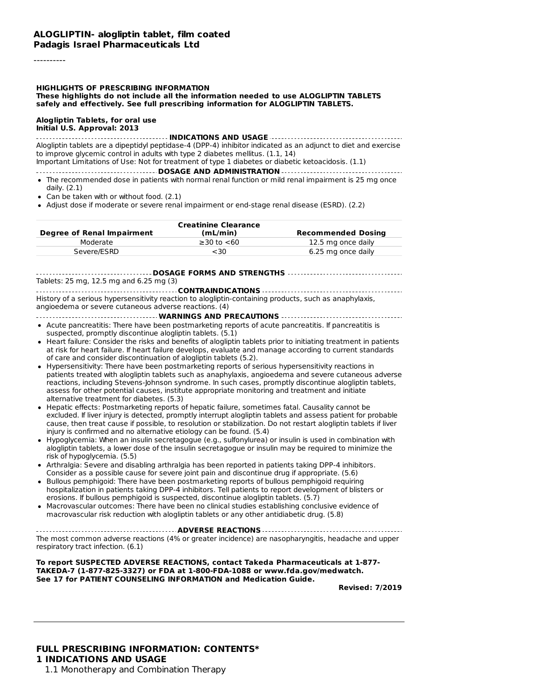#### ----------

# **HIGHLIGHTS OF PRESCRIBING INFORMATION**

**These highlights do not include all the information needed to use ALOGLIPTIN TABLETS safely and effectively. See full prescribing information for ALOGLIPTIN TABLETS.**

#### **Alogliptin Tablets, for oral use Initial U.S. Approval: 2013**

#### **INDICATIONS AND USAGE**

Alogliptin tablets are a dipeptidyl peptidase-4 (DPP-4) inhibitor indicated as an adjunct to diet and exercise to improve glycemic control in adults with type 2 diabetes mellitus. (1.1, 14)

Important Limitations of Use: Not for treatment of type 1 diabetes or diabetic ketoacidosis. (1.1)

**DOSAGE AND ADMINISTRATION**

- The recommended dose in patients with normal renal function or mild renal impairment is 25 mg once daily. (2.1)
- Can be taken with or without food. (2.1)
- Adjust dose if moderate or severe renal impairment or end-stage renal disease (ESRD). (2.2)

| Degree of Renal Impairment | <b>Creatinine Clearance</b><br>(mL/min) | <b>Recommended Dosing</b> |
|----------------------------|-----------------------------------------|---------------------------|
| Moderate                   | $\geq$ 30 to $\lt$ 60                   | 12.5 mg once daily        |
| Severe/ESRD                | <30                                     | 6.25 mg once daily        |

**DOSAGE FORMS AND STRENGTHS** Tablets: 25 mg, 12.5 mg and 6.25 mg (3)

**CONTRAINDICATIONS** History of a serious hypersensitivity reaction to alogliptin-containing products, such as anaphylaxis, angioedema or severe cutaneous adverse reactions. (4)

- **WARNINGS AND PRECAUTIONS**
- Acute pancreatitis: There have been postmarketing reports of acute pancreatitis. If pancreatitis is suspected, promptly discontinue alogliptin tablets. (5.1)
- Heart failure: Consider the risks and benefits of alogliptin tablets prior to initiating treatment in patients at risk for heart failure. If heart failure develops, evaluate and manage according to current standards of care and consider discontinuation of alogliptin tablets (5.2).
- Hypersensitivity: There have been postmarketing reports of serious hypersensitivity reactions in patients treated with alogliptin tablets such as anaphylaxis, angioedema and severe cutaneous adverse reactions, including Stevens-Johnson syndrome. In such cases, promptly discontinue alogliptin tablets, assess for other potential causes, institute appropriate monitoring and treatment and initiate alternative treatment for diabetes. (5.3)
- Hepatic effects: Postmarketing reports of hepatic failure, sometimes fatal. Causality cannot be excluded. If liver injury is detected, promptly interrupt alogliptin tablets and assess patient for probable cause, then treat cause if possible, to resolution or stabilization. Do not restart alogliptin tablets if liver injury is confirmed and no alternative etiology can be found. (5.4)
- Hypoglycemia: When an insulin secretagogue (e.g., sulfonylurea) or insulin is used in combination with alogliptin tablets, a lower dose of the insulin secretagogue or insulin may be required to minimize the risk of hypoglycemia. (5.5)
- Arthralgia: Severe and disabling arthralgia has been reported in patients taking DPP-4 inhibitors. Consider as a possible cause for severe joint pain and discontinue drug if appropriate. (5.6)
- Bullous pemphigoid: There have been postmarketing reports of bullous pemphigoid requiring hospitalization in patients taking DPP-4 inhibitors. Tell patients to report development of blisters or erosions. If bullous pemphigoid is suspected, discontinue alogliptin tablets. (5.7)
- Macrovascular outcomes: There have been no clinical studies establishing conclusive evidence of macrovascular risk reduction with alogliptin tablets or any other antidiabetic drug. (5.8)

**ADVERSE REACTIONS** The most common adverse reactions (4% or greater incidence) are nasopharyngitis, headache and upper respiratory tract infection. (6.1)

**To report SUSPECTED ADVERSE REACTIONS, contact Takeda Pharmaceuticals at 1-877- TAKEDA-7 (1-877-825-3327) or FDA at 1-800-FDA-1088 or www.fda.gov/medwatch. See 17 for PATIENT COUNSELING INFORMATION and Medication Guide.**

**Revised: 7/2019**

# **FULL PRESCRIBING INFORMATION: CONTENTS\* 1 INDICATIONS AND USAGE**

1.1 Monotherapy and Combination Therapy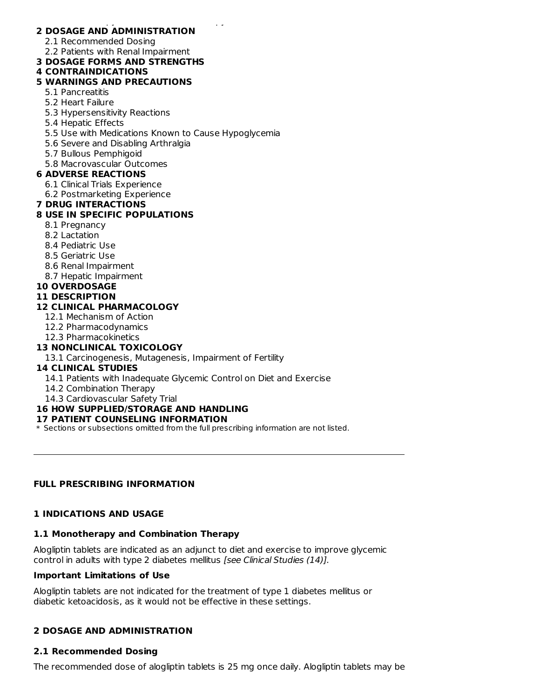#### 1.1 Monotherapy and Combination Therapy **2 DOSAGE AND ADMINISTRATION**

2.1 Recommended Dosing

2.2 Patients with Renal Impairment

### **3 DOSAGE FORMS AND STRENGTHS**

# **4 CONTRAINDICATIONS**

# **5 WARNINGS AND PRECAUTIONS**

- 5.1 Pancreatitis
- 5.2 Heart Failure
- 5.3 Hypersensitivity Reactions
- 5.4 Hepatic Effects
- 5.5 Use with Medications Known to Cause Hypoglycemia
- 5.6 Severe and Disabling Arthralgia
- 5.7 Bullous Pemphigoid
- 5.8 Macrovascular Outcomes

### **6 ADVERSE REACTIONS**

- 6.1 Clinical Trials Experience
- 6.2 Postmarketing Experience

### **7 DRUG INTERACTIONS**

# **8 USE IN SPECIFIC POPULATIONS**

- 8.1 Pregnancy
- 8.2 Lactation
- 8.4 Pediatric Use
- 8.5 Geriatric Use
- 8.6 Renal Impairment
- 8.7 Hepatic Impairment

### **10 OVERDOSAGE**

**11 DESCRIPTION**

### **12 CLINICAL PHARMACOLOGY**

- 12.1 Mechanism of Action
- 12.2 Pharmacodynamics
- 12.3 Pharmacokinetics

### **13 NONCLINICAL TOXICOLOGY**

13.1 Carcinogenesis, Mutagenesis, Impairment of Fertility

### **14 CLINICAL STUDIES**

- 14.1 Patients with Inadequate Glycemic Control on Diet and Exercise
- 14.2 Combination Therapy
- 14.3 Cardiovascular Safety Trial

# **16 HOW SUPPLIED/STORAGE AND HANDLING**

### **17 PATIENT COUNSELING INFORMATION**

\* Sections or subsections omitted from the full prescribing information are not listed.

### **FULL PRESCRIBING INFORMATION**

### **1 INDICATIONS AND USAGE**

### **1.1 Monotherapy and Combination Therapy**

Alogliptin tablets are indicated as an adjunct to diet and exercise to improve glycemic control in adults with type 2 diabetes mellitus [see Clinical Studies (14)].

### **Important Limitations of Use**

Alogliptin tablets are not indicated for the treatment of type 1 diabetes mellitus or diabetic ketoacidosis, as it would not be effective in these settings.

### **2 DOSAGE AND ADMINISTRATION**

### **2.1 Recommended Dosing**

The recommended dose of alogliptin tablets is 25 mg once daily. Alogliptin tablets may be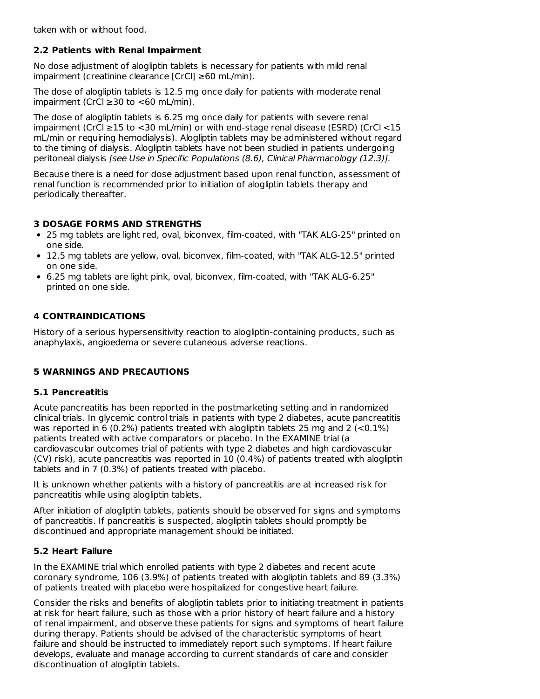taken with or without food.

# **2.2 Patients with Renal Impairment**

No dose adjustment of alogliptin tablets is necessary for patients with mild renal impairment (creatinine clearance [CrCl] ≥60 mL/min).

The dose of alogliptin tablets is 12.5 mg once daily for patients with moderate renal impairment (CrCl ≥30 to <60 mL/min).

The dose of alogliptin tablets is 6.25 mg once daily for patients with severe renal impairment (CrCl ≥15 to <30 mL/min) or with end-stage renal disease (ESRD) (CrCl <15 mL/min or requiring hemodialysis). Alogliptin tablets may be administered without regard to the timing of dialysis. Alogliptin tablets have not been studied in patients undergoing peritoneal dialysis [see Use in Specific Populations (8.6), Clinical Pharmacology (12.3)].

Because there is a need for dose adjustment based upon renal function, assessment of renal function is recommended prior to initiation of alogliptin tablets therapy and periodically thereafter.

# **3 DOSAGE FORMS AND STRENGTHS**

- 25 mg tablets are light red, oval, biconvex, film-coated, with "TAK ALG-25" printed on one side.
- 12.5 mg tablets are yellow, oval, biconvex, film-coated, with "TAK ALG-12.5" printed on one side.
- 6.25 mg tablets are light pink, oval, biconvex, film-coated, with "TAK ALG-6.25" printed on one side.

# **4 CONTRAINDICATIONS**

History of a serious hypersensitivity reaction to alogliptin-containing products, such as anaphylaxis, angioedema or severe cutaneous adverse reactions.

# **5 WARNINGS AND PRECAUTIONS**

# **5.1 Pancreatitis**

Acute pancreatitis has been reported in the postmarketing setting and in randomized clinical trials. In glycemic control trials in patients with type 2 diabetes, acute pancreatitis was reported in 6 (0.2%) patients treated with alogliptin tablets 25 mg and 2 ( $< 0.1\%$ ) patients treated with active comparators or placebo. In the EXAMINE trial (a cardiovascular outcomes trial of patients with type 2 diabetes and high cardiovascular (CV) risk), acute pancreatitis was reported in 10 (0.4%) of patients treated with alogliptin tablets and in 7 (0.3%) of patients treated with placebo.

It is unknown whether patients with a history of pancreatitis are at increased risk for pancreatitis while using alogliptin tablets.

After initiation of alogliptin tablets, patients should be observed for signs and symptoms of pancreatitis. If pancreatitis is suspected, alogliptin tablets should promptly be discontinued and appropriate management should be initiated.

# **5.2 Heart Failure**

In the EXAMINE trial which enrolled patients with type 2 diabetes and recent acute coronary syndrome, 106 (3.9%) of patients treated with alogliptin tablets and 89 (3.3%) of patients treated with placebo were hospitalized for congestive heart failure.

Consider the risks and benefits of alogliptin tablets prior to initiating treatment in patients at risk for heart failure, such as those with a prior history of heart failure and a history of renal impairment, and observe these patients for signs and symptoms of heart failure during therapy. Patients should be advised of the characteristic symptoms of heart failure and should be instructed to immediately report such symptoms. If heart failure develops, evaluate and manage according to current standards of care and consider discontinuation of alogliptin tablets.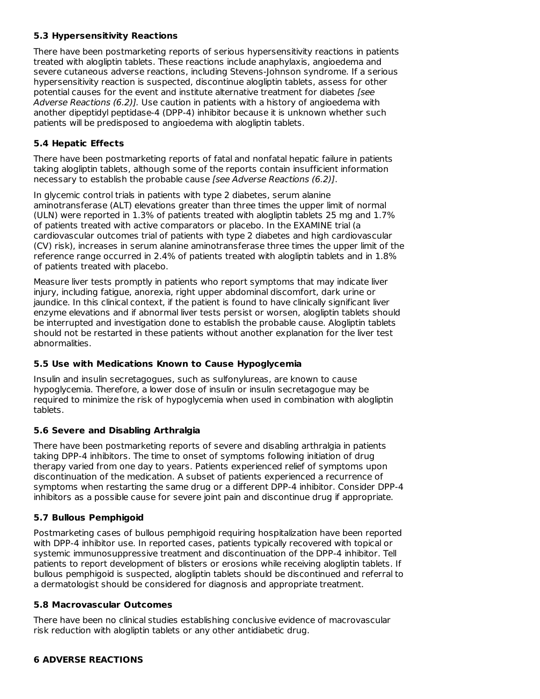# **5.3 Hypersensitivity Reactions**

There have been postmarketing reports of serious hypersensitivity reactions in patients treated with alogliptin tablets. These reactions include anaphylaxis, angioedema and severe cutaneous adverse reactions, including Stevens-Johnson syndrome. If a serious hypersensitivity reaction is suspected, discontinue alogliptin tablets, assess for other potential causes for the event and institute alternative treatment for diabetes [see Adverse Reactions (6.2)]. Use caution in patients with a history of angioedema with another dipeptidyl peptidase-4 (DPP-4) inhibitor because it is unknown whether such patients will be predisposed to angioedema with alogliptin tablets.

# **5.4 Hepatic Effects**

There have been postmarketing reports of fatal and nonfatal hepatic failure in patients taking alogliptin tablets, although some of the reports contain insufficient information necessary to establish the probable cause [see Adverse Reactions (6.2)].

In glycemic control trials in patients with type 2 diabetes, serum alanine aminotransferase (ALT) elevations greater than three times the upper limit of normal (ULN) were reported in 1.3% of patients treated with alogliptin tablets 25 mg and 1.7% of patients treated with active comparators or placebo. In the EXAMINE trial (a cardiovascular outcomes trial of patients with type 2 diabetes and high cardiovascular (CV) risk), increases in serum alanine aminotransferase three times the upper limit of the reference range occurred in 2.4% of patients treated with alogliptin tablets and in 1.8% of patients treated with placebo.

Measure liver tests promptly in patients who report symptoms that may indicate liver injury, including fatigue, anorexia, right upper abdominal discomfort, dark urine or jaundice. In this clinical context, if the patient is found to have clinically significant liver enzyme elevations and if abnormal liver tests persist or worsen, alogliptin tablets should be interrupted and investigation done to establish the probable cause. Alogliptin tablets should not be restarted in these patients without another explanation for the liver test abnormalities.

### **5.5 Use with Medications Known to Cause Hypoglycemia**

Insulin and insulin secretagogues, such as sulfonylureas, are known to cause hypoglycemia. Therefore, a lower dose of insulin or insulin secretagogue may be required to minimize the risk of hypoglycemia when used in combination with alogliptin tablets.

# **5.6 Severe and Disabling Arthralgia**

There have been postmarketing reports of severe and disabling arthralgia in patients taking DPP-4 inhibitors. The time to onset of symptoms following initiation of drug therapy varied from one day to years. Patients experienced relief of symptoms upon discontinuation of the medication. A subset of patients experienced a recurrence of symptoms when restarting the same drug or a different DPP-4 inhibitor. Consider DPP-4 inhibitors as a possible cause for severe joint pain and discontinue drug if appropriate.

# **5.7 Bullous Pemphigoid**

Postmarketing cases of bullous pemphigoid requiring hospitalization have been reported with DPP-4 inhibitor use. In reported cases, patients typically recovered with topical or systemic immunosuppressive treatment and discontinuation of the DPP-4 inhibitor. Tell patients to report development of blisters or erosions while receiving alogliptin tablets. If bullous pemphigoid is suspected, alogliptin tablets should be discontinued and referral to a dermatologist should be considered for diagnosis and appropriate treatment.

### **5.8 Macrovascular Outcomes**

There have been no clinical studies establishing conclusive evidence of macrovascular risk reduction with alogliptin tablets or any other antidiabetic drug.

### **6 ADVERSE REACTIONS**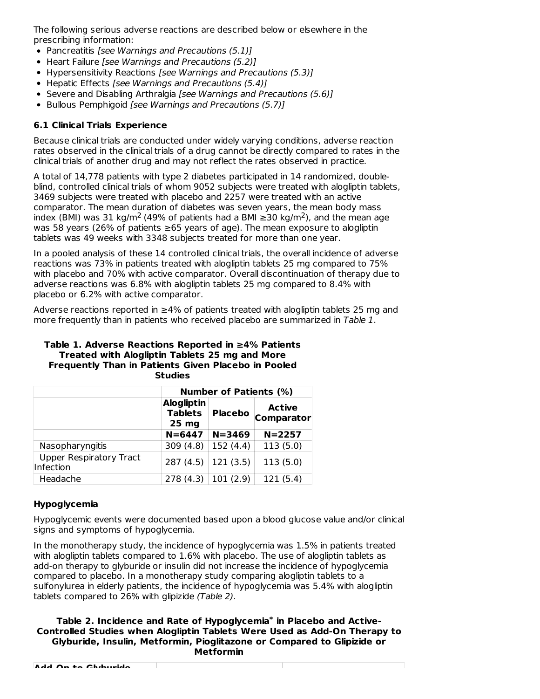The following serious adverse reactions are described below or elsewhere in the prescribing information:

- Pancreatitis [see Warnings and Precautions (5.1)]
- Heart Failure [see Warnings and Precautions (5.2)]
- Hypersensitivity Reactions [see Warnings and Precautions (5.3)]
- Hepatic Effects [see Warnings and Precautions (5.4)]
- Severe and Disabling Arthralgia [see Warnings and Precautions (5.6)]
- Bullous Pemphigoid [see Warnings and Precautions (5.7)]

# **6.1 Clinical Trials Experience**

Because clinical trials are conducted under widely varying conditions, adverse reaction rates observed in the clinical trials of a drug cannot be directly compared to rates in the clinical trials of another drug and may not reflect the rates observed in practice.

A total of 14,778 patients with type 2 diabetes participated in 14 randomized, doubleblind, controlled clinical trials of whom 9052 subjects were treated with alogliptin tablets, 3469 subjects were treated with placebo and 2257 were treated with an active comparator. The mean duration of diabetes was seven years, the mean body mass index (BMI) was 31 kg/m<sup>2</sup> (49% of patients had a BMI ≥30 kg/m<sup>2</sup>), and the mean age was 58 years (26% of patients ≥65 years of age). The mean exposure to alogliptin tablets was 49 weeks with 3348 subjects treated for more than one year.

In a pooled analysis of these 14 controlled clinical trials, the overall incidence of adverse reactions was 73% in patients treated with alogliptin tablets 25 mg compared to 75% with placebo and 70% with active comparator. Overall discontinuation of therapy due to adverse reactions was 6.8% with alogliptin tablets 25 mg compared to 8.4% with placebo or 6.2% with active comparator.

Adverse reactions reported in  $\geq 4\%$  of patients treated with alogliptin tablets 25 mg and more frequently than in patients who received placebo are summarized in Table 1.

#### **Table 1. Adverse Reactions Reported in ≥4% Patients Treated with Alogliptin Tablets 25 mg and More Frequently Than in Patients Given Placebo in Pooled Studies**

|                                             | <b>Number of Patients (%)</b>                           |                |                                    |  |  |  |
|---------------------------------------------|---------------------------------------------------------|----------------|------------------------------------|--|--|--|
|                                             | <b>Alogliptin</b><br><b>Tablets</b><br>25 <sub>mg</sub> | <b>Placebo</b> | <b>Active</b><br><b>Comparator</b> |  |  |  |
|                                             | $N = 6447$                                              | $N = 3469$     | $N = 2257$                         |  |  |  |
| Nasopharyngitis                             | 309(4.8)                                                | 152(4.4)       | 113(5.0)                           |  |  |  |
| <b>Upper Respiratory Tract</b><br>Infection | 287(4.5)                                                | 121(3.5)       | 113(5.0)                           |  |  |  |
| Headache                                    | 278 (4.3)                                               | 101(2.9)       | 121(5.4)                           |  |  |  |

# **Hypoglycemia**

Hypoglycemic events were documented based upon a blood glucose value and/or clinical signs and symptoms of hypoglycemia.

In the monotherapy study, the incidence of hypoglycemia was 1.5% in patients treated with alogliptin tablets compared to 1.6% with placebo. The use of alogliptin tablets as add-on therapy to glyburide or insulin did not increase the incidence of hypoglycemia compared to placebo. In a monotherapy study comparing alogliptin tablets to a sulfonylurea in elderly patients, the incidence of hypoglycemia was 5.4% with alogliptin tablets compared to 26% with glipizide (Table 2).

#### **Table 2. Incidence and Rate of Hypoglycemia in Placebo and Active-\*Controlled Studies when Alogliptin Tablets Were Used as Add-On Therapy to Glyburide, Insulin, Metformin, Pioglitazone or Compared to Glipizide or Metformin**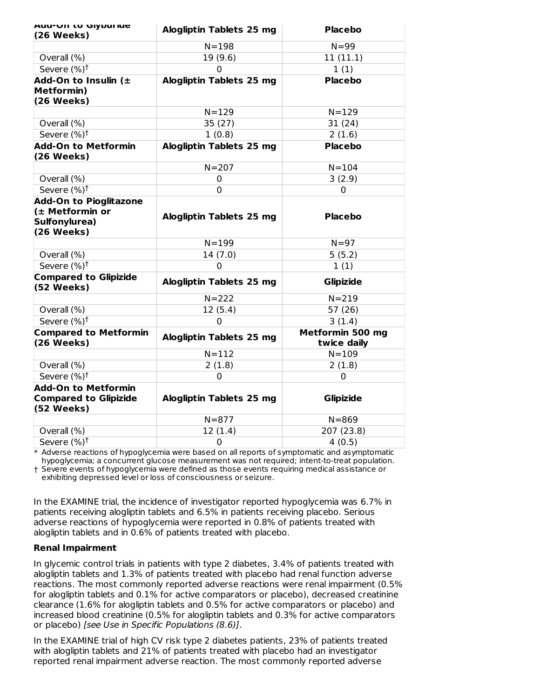| <b>AUU-VII LU UIJUUI IUE</b><br>(26 Weeks)                                      | <b>Alogliptin Tablets 25 mg</b> | <b>Placebo</b>                  |  |  |
|---------------------------------------------------------------------------------|---------------------------------|---------------------------------|--|--|
|                                                                                 | $N = 198$                       | $N = 99$                        |  |  |
| Overall (%)                                                                     | 19 (9.6)                        | 11(11.1)                        |  |  |
| Severe (%) <sup>†</sup>                                                         | $\mathbf 0$                     | 1(1)                            |  |  |
| Add-On to Insulin $($<br><b>Metformin)</b><br>(26 Weeks)                        | <b>Alogliptin Tablets 25 mg</b> | <b>Placebo</b>                  |  |  |
|                                                                                 | $N = 129$                       | $N = 129$                       |  |  |
| Overall (%)                                                                     | 35 (27)                         | 31(24)                          |  |  |
| Severe $(%)^{\dagger}$                                                          | 1(0.8)                          | 2(1.6)                          |  |  |
| <b>Add-On to Metformin</b><br>(26 Weeks)                                        | <b>Alogliptin Tablets 25 mg</b> | <b>Placebo</b>                  |  |  |
|                                                                                 | $N = 207$                       | $N = 104$                       |  |  |
| Overall (%)                                                                     | 0                               | 3(2.9)                          |  |  |
| Severe (%) <sup>t</sup>                                                         | 0                               | 0                               |  |  |
| <b>Add-On to Pioglitazone</b><br>(± Metformin or<br>Sulfonylurea)<br>(26 Weeks) | Alogliptin Tablets 25 mg        | <b>Placebo</b>                  |  |  |
|                                                                                 | $N = 199$                       | $N=97$                          |  |  |
| Overall (%)                                                                     | 14(7.0)                         | 5(5.2)                          |  |  |
| Severe (%) <sup>†</sup>                                                         | 0                               | 1(1)                            |  |  |
| <b>Compared to Glipizide</b><br>(52 Weeks)                                      | <b>Alogliptin Tablets 25 mg</b> | <b>Glipizide</b>                |  |  |
|                                                                                 | $N = 222$                       | $N = 219$                       |  |  |
| Overall (%)                                                                     | 12(5.4)                         | 57(26)                          |  |  |
| Severe (%) <sup>†</sup>                                                         | $\overline{0}$                  | 3(1.4)                          |  |  |
| <b>Compared to Metformin</b><br>(26 Weeks)                                      | <b>Alogliptin Tablets 25 mg</b> | Metformin 500 mg<br>twice daily |  |  |
|                                                                                 | $N = 112$                       | $N = 109$                       |  |  |
| Overall (%)                                                                     | 2(1.8)                          | 2(1.8)                          |  |  |
| Severe (%) <sup>†</sup>                                                         | $\overline{0}$                  | $\Omega$                        |  |  |
| <b>Add-On to Metformin</b><br><b>Compared to Glipizide</b><br>(52 Weeks)        | <b>Alogliptin Tablets 25 mg</b> | <b>Glipizide</b>                |  |  |
|                                                                                 | $N = 877$                       | $N = 869$                       |  |  |
| Overall (%)                                                                     | 12(1.4)                         | 207 (23.8)                      |  |  |
| Severe (%) <sup>†</sup>                                                         | 0                               | 4(0.5)                          |  |  |

\* Adverse reactions of hypoglycemia were based on all reports of symptomatic and asymptomatic hypoglycemia; a concurrent glucose measurement was not required; intent-to-treat population.

† Severe events of hypoglycemia were defined as those events requiring medical assistance or exhibiting depressed level or loss of consciousness or seizure.

In the EXAMINE trial, the incidence of investigator reported hypoglycemia was 6.7% in patients receiving alogliptin tablets and 6.5% in patients receiving placebo. Serious adverse reactions of hypoglycemia were reported in 0.8% of patients treated with alogliptin tablets and in 0.6% of patients treated with placebo.

### **Renal Impairment**

In glycemic control trials in patients with type 2 diabetes, 3.4% of patients treated with alogliptin tablets and 1.3% of patients treated with placebo had renal function adverse reactions. The most commonly reported adverse reactions were renal impairment (0.5% for alogliptin tablets and 0.1% for active comparators or placebo), decreased creatinine clearance (1.6% for alogliptin tablets and 0.5% for active comparators or placebo) and increased blood creatinine (0.5% for alogliptin tablets and 0.3% for active comparators or placebo) [see Use in Specific Populations (8.6)].

In the EXAMINE trial of high CV risk type 2 diabetes patients, 23% of patients treated with alogliptin tablets and 21% of patients treated with placebo had an investigator reported renal impairment adverse reaction. The most commonly reported adverse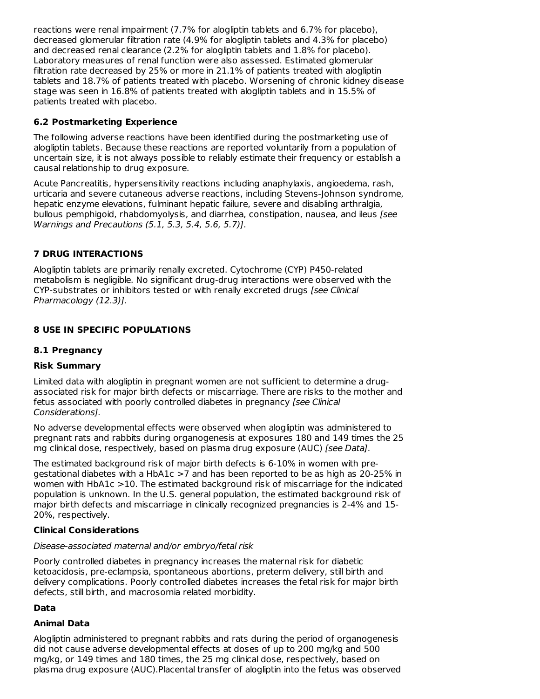reactions were renal impairment (7.7% for alogliptin tablets and 6.7% for placebo), decreased glomerular filtration rate (4.9% for alogliptin tablets and 4.3% for placebo) and decreased renal clearance (2.2% for alogliptin tablets and 1.8% for placebo). Laboratory measures of renal function were also assessed. Estimated glomerular filtration rate decreased by 25% or more in 21.1% of patients treated with alogliptin tablets and 18.7% of patients treated with placebo. Worsening of chronic kidney disease stage was seen in 16.8% of patients treated with alogliptin tablets and in 15.5% of patients treated with placebo.

# **6.2 Postmarketing Experience**

The following adverse reactions have been identified during the postmarketing use of alogliptin tablets. Because these reactions are reported voluntarily from a population of uncertain size, it is not always possible to reliably estimate their frequency or establish a causal relationship to drug exposure.

Acute Pancreatitis, hypersensitivity reactions including anaphylaxis, angioedema, rash, urticaria and severe cutaneous adverse reactions, including Stevens-Johnson syndrome, hepatic enzyme elevations, fulminant hepatic failure, severe and disabling arthralgia, bullous pemphigoid, rhabdomyolysis, and diarrhea, constipation, nausea, and ileus [see Warnings and Precautions (5.1, 5.3, 5.4, 5.6, 5.7)].

# **7 DRUG INTERACTIONS**

Alogliptin tablets are primarily renally excreted. Cytochrome (CYP) P450-related metabolism is negligible. No significant drug-drug interactions were observed with the CYP-substrates or inhibitors tested or with renally excreted drugs [see Clinical Pharmacology (12.3)].

# **8 USE IN SPECIFIC POPULATIONS**

### **8.1 Pregnancy**

### **Risk Summary**

Limited data with alogliptin in pregnant women are not sufficient to determine a drugassociated risk for major birth defects or miscarriage. There are risks to the mother and fetus associated with poorly controlled diabetes in pregnancy [see Clinical Considerations].

No adverse developmental effects were observed when alogliptin was administered to pregnant rats and rabbits during organogenesis at exposures 180 and 149 times the 25 mg clinical dose, respectively, based on plasma drug exposure (AUC) [see Data].

The estimated background risk of major birth defects is 6-10% in women with pregestational diabetes with a HbA1c >7 and has been reported to be as high as 20-25% in women with HbA1c >10. The estimated background risk of miscarriage for the indicated population is unknown. In the U.S. general population, the estimated background risk of major birth defects and miscarriage in clinically recognized pregnancies is 2-4% and 15- 20%, respectively.

### **Clinical Considerations**

#### Disease-associated maternal and/or embryo/fetal risk

Poorly controlled diabetes in pregnancy increases the maternal risk for diabetic ketoacidosis, pre-eclampsia, spontaneous abortions, preterm delivery, still birth and delivery complications. Poorly controlled diabetes increases the fetal risk for major birth defects, still birth, and macrosomia related morbidity.

### **Data**

### **Animal Data**

Alogliptin administered to pregnant rabbits and rats during the period of organogenesis did not cause adverse developmental effects at doses of up to 200 mg/kg and 500 mg/kg, or 149 times and 180 times, the 25 mg clinical dose, respectively, based on plasma drug exposure (AUC).Placental transfer of alogliptin into the fetus was observed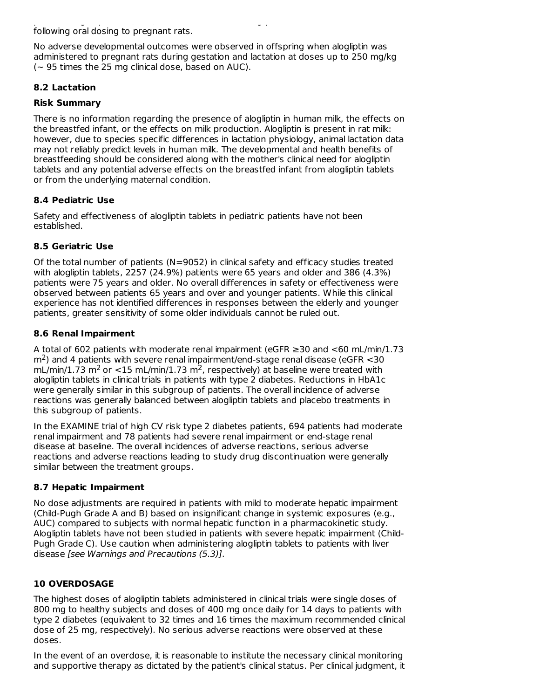plasma drug exposure (AUC).Placental transfer of alogliptin into the fetus was observed following oral dosing to pregnant rats.

No adverse developmental outcomes were observed in offspring when alogliptin was administered to pregnant rats during gestation and lactation at doses up to 250 mg/kg  $\sim$  95 times the 25 mg clinical dose, based on AUC).

# **8.2 Lactation**

### **Risk Summary**

There is no information regarding the presence of alogliptin in human milk, the effects on the breastfed infant, or the effects on milk production. Alogliptin is present in rat milk: however, due to species specific differences in lactation physiology, animal lactation data may not reliably predict levels in human milk. The developmental and health benefits of breastfeeding should be considered along with the mother's clinical need for alogliptin tablets and any potential adverse effects on the breastfed infant from alogliptin tablets or from the underlying maternal condition.

# **8.4 Pediatric Use**

Safety and effectiveness of alogliptin tablets in pediatric patients have not been established.

# **8.5 Geriatric Use**

Of the total number of patients (N=9052) in clinical safety and efficacy studies treated with alogliptin tablets, 2257 (24.9%) patients were 65 years and older and 386 (4.3%) patients were 75 years and older. No overall differences in safety or effectiveness were observed between patients 65 years and over and younger patients. While this clinical experience has not identified differences in responses between the elderly and younger patients, greater sensitivity of some older individuals cannot be ruled out.

# **8.6 Renal Impairment**

A total of 602 patients with moderate renal impairment (eGFR ≥30 and <60 mL/min/1.73  $\rm m^2$ ) and 4 patients with severe renal impairment/end-stage renal disease (eGFR  $<$  30 mL/min/1.73 m<sup>2</sup> or <15 mL/min/1.73 m<sup>2</sup>, respectively) at baseline were treated with alogliptin tablets in clinical trials in patients with type 2 diabetes. Reductions in HbA1c were generally similar in this subgroup of patients. The overall incidence of adverse reactions was generally balanced between alogliptin tablets and placebo treatments in this subgroup of patients.

In the EXAMINE trial of high CV risk type 2 diabetes patients, 694 patients had moderate renal impairment and 78 patients had severe renal impairment or end-stage renal disease at baseline. The overall incidences of adverse reactions, serious adverse reactions and adverse reactions leading to study drug discontinuation were generally similar between the treatment groups.

### **8.7 Hepatic Impairment**

No dose adjustments are required in patients with mild to moderate hepatic impairment (Child-Pugh Grade A and B) based on insignificant change in systemic exposures (e.g., AUC) compared to subjects with normal hepatic function in a pharmacokinetic study. Alogliptin tablets have not been studied in patients with severe hepatic impairment (Child-Pugh Grade C). Use caution when administering alogliptin tablets to patients with liver disease [see Warnings and Precautions (5.3)].

# **10 OVERDOSAGE**

The highest doses of alogliptin tablets administered in clinical trials were single doses of 800 mg to healthy subjects and doses of 400 mg once daily for 14 days to patients with type 2 diabetes (equivalent to 32 times and 16 times the maximum recommended clinical dose of 25 mg, respectively). No serious adverse reactions were observed at these doses.

In the event of an overdose, it is reasonable to institute the necessary clinical monitoring and supportive therapy as dictated by the patient's clinical status. Per clinical judgment, it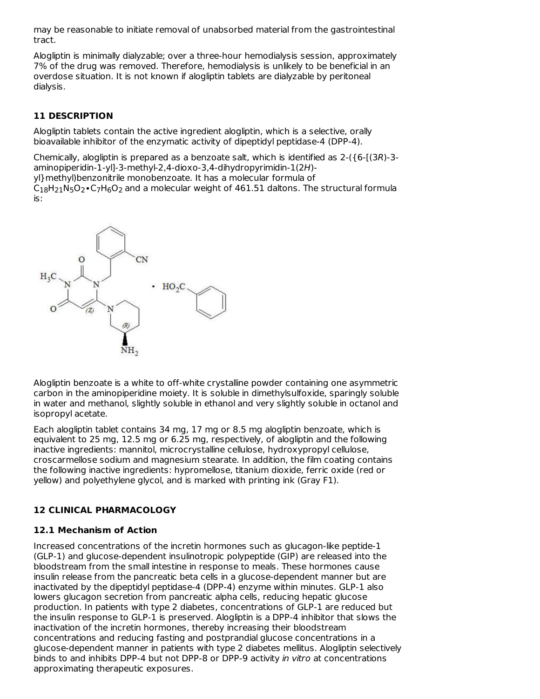may be reasonable to initiate removal of unabsorbed material from the gastrointestinal tract.

Alogliptin is minimally dialyzable; over a three-hour hemodialysis session, approximately 7% of the drug was removed. Therefore, hemodialysis is unlikely to be beneficial in an overdose situation. It is not known if alogliptin tablets are dialyzable by peritoneal dialysis.

# **11 DESCRIPTION**

Alogliptin tablets contain the active ingredient alogliptin, which is a selective, orally bioavailable inhibitor of the enzymatic activity of dipeptidyl peptidase-4 (DPP-4).

Chemically, alogliptin is prepared as a benzoate salt, which is identified as 2-({6-[(3R)-3 aminopiperidin-1-yl]-3-methyl-2,4-dioxo-3,4-dihydropyrimidin-1(2H) yl}methyl)benzonitrile monobenzoate. It has a molecular formula of  $\mathsf{C}_{18} \mathsf{H}_{21} \mathsf{N}_5 \mathsf{O}_2$  • $\mathsf{C}_7 \mathsf{H}_6 \mathsf{O}_2$  and a molecular weight of 461.51 daltons. The structural formula is:



Alogliptin benzoate is a white to off-white crystalline powder containing one asymmetric carbon in the aminopiperidine moiety. It is soluble in dimethylsulfoxide, sparingly soluble in water and methanol, slightly soluble in ethanol and very slightly soluble in octanol and isopropyl acetate.

Each alogliptin tablet contains 34 mg, 17 mg or 8.5 mg alogliptin benzoate, which is equivalent to 25 mg, 12.5 mg or 6.25 mg, respectively, of alogliptin and the following inactive ingredients: mannitol, microcrystalline cellulose, hydroxypropyl cellulose, croscarmellose sodium and magnesium stearate. In addition, the film coating contains the following inactive ingredients: hypromellose, titanium dioxide, ferric oxide (red or yellow) and polyethylene glycol, and is marked with printing ink (Gray F1).

### **12 CLINICAL PHARMACOLOGY**

### **12.1 Mechanism of Action**

Increased concentrations of the incretin hormones such as glucagon-like peptide-1 (GLP-1) and glucose-dependent insulinotropic polypeptide (GIP) are released into the bloodstream from the small intestine in response to meals. These hormones cause insulin release from the pancreatic beta cells in a glucose-dependent manner but are inactivated by the dipeptidyl peptidase-4 (DPP-4) enzyme within minutes. GLP-1 also lowers glucagon secretion from pancreatic alpha cells, reducing hepatic glucose production. In patients with type 2 diabetes, concentrations of GLP-1 are reduced but the insulin response to GLP-1 is preserved. Alogliptin is a DPP-4 inhibitor that slows the inactivation of the incretin hormones, thereby increasing their bloodstream concentrations and reducing fasting and postprandial glucose concentrations in a glucose-dependent manner in patients with type 2 diabetes mellitus. Alogliptin selectively binds to and inhibits DPP-4 but not DPP-8 or DPP-9 activity in vitro at concentrations approximating therapeutic exposures.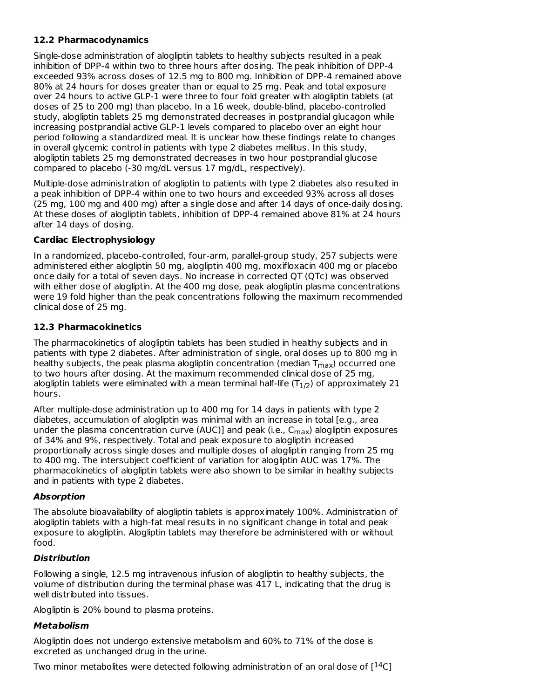# **12.2 Pharmacodynamics**

Single-dose administration of alogliptin tablets to healthy subjects resulted in a peak inhibition of DPP-4 within two to three hours after dosing. The peak inhibition of DPP-4 exceeded 93% across doses of 12.5 mg to 800 mg. Inhibition of DPP-4 remained above 80% at 24 hours for doses greater than or equal to 25 mg. Peak and total exposure over 24 hours to active GLP-1 were three to four fold greater with alogliptin tablets (at doses of 25 to 200 mg) than placebo. In a 16 week, double-blind, placebo-controlled study, alogliptin tablets 25 mg demonstrated decreases in postprandial glucagon while increasing postprandial active GLP-1 levels compared to placebo over an eight hour period following a standardized meal. It is unclear how these findings relate to changes in overall glycemic control in patients with type 2 diabetes mellitus. In this study, alogliptin tablets 25 mg demonstrated decreases in two hour postprandial glucose compared to placebo (-30 mg/dL versus 17 mg/dL, respectively).

Multiple-dose administration of alogliptin to patients with type 2 diabetes also resulted in a peak inhibition of DPP-4 within one to two hours and exceeded 93% across all doses (25 mg, 100 mg and 400 mg) after a single dose and after 14 days of once-daily dosing. At these doses of alogliptin tablets, inhibition of DPP-4 remained above 81% at 24 hours after 14 days of dosing.

# **Cardiac Electrophysiology**

In a randomized, placebo-controlled, four-arm, parallel-group study, 257 subjects were administered either alogliptin 50 mg, alogliptin 400 mg, moxifloxacin 400 mg or placebo once daily for a total of seven days. No increase in corrected QT (QTc) was observed with either dose of alogliptin. At the 400 mg dose, peak alogliptin plasma concentrations were 19 fold higher than the peak concentrations following the maximum recommended clinical dose of 25 mg.

# **12.3 Pharmacokinetics**

The pharmacokinetics of alogliptin tablets has been studied in healthy subjects and in patients with type 2 diabetes. After administration of single, oral doses up to 800 mg in healthy subjects, the peak plasma alogliptin concentration (median  $\mathsf{T}_{\mathsf{max}}$ ) occurred one to two hours after dosing. At the maximum recommended clinical dose of 25 mg, alogliptin tablets were eliminated with a mean terminal half-life (T $_{\rm 1/2}$ ) of approximately 21 hours.

After multiple-dose administration up to 400 mg for 14 days in patients with type 2 diabetes, accumulation of alogliptin was minimal with an increase in total [e.g., area under the plasma concentration curve (AUC)] and peak (i.e., C<sub>max</sub>) alogliptin exposures of 34% and 9%, respectively. Total and peak exposure to alogliptin increased proportionally across single doses and multiple doses of alogliptin ranging from 25 mg to 400 mg. The intersubject coefficient of variation for alogliptin AUC was 17%. The pharmacokinetics of alogliptin tablets were also shown to be similar in healthy subjects and in patients with type 2 diabetes.

### **Absorption**

The absolute bioavailability of alogliptin tablets is approximately 100%. Administration of alogliptin tablets with a high-fat meal results in no significant change in total and peak exposure to alogliptin. Alogliptin tablets may therefore be administered with or without food.

### **Distribution**

Following a single, 12.5 mg intravenous infusion of alogliptin to healthy subjects, the volume of distribution during the terminal phase was 417 L, indicating that the drug is well distributed into tissues.

Alogliptin is 20% bound to plasma proteins.

# **Metabolism**

Alogliptin does not undergo extensive metabolism and 60% to 71% of the dose is excreted as unchanged drug in the urine.

Two minor metabolites were detected following administration of an oral dose of [ $^{14}$ C]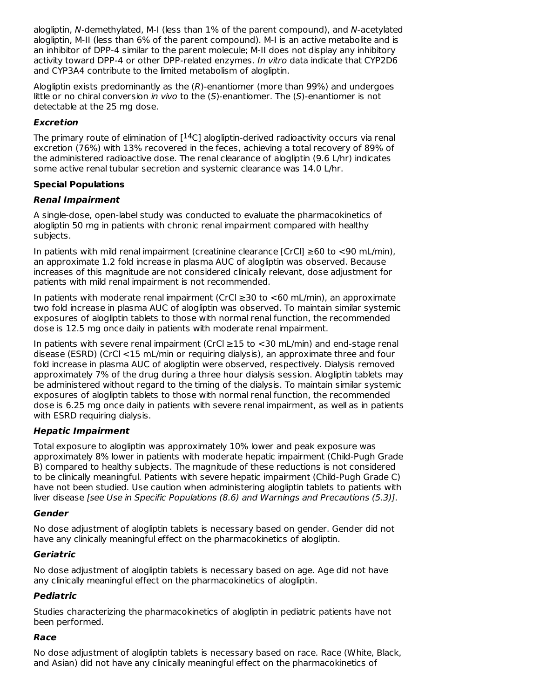alogliptin, N-demethylated, M-I (less than 1% of the parent compound), and N-acetylated alogliptin, M-II (less than 6% of the parent compound). M-I is an active metabolite and is an inhibitor of DPP-4 similar to the parent molecule; M-II does not display any inhibitory activity toward DPP-4 or other DPP-related enzymes. In vitro data indicate that CYP2D6 and CYP3A4 contribute to the limited metabolism of alogliptin.

Alogliptin exists predominantly as the (R)-enantiomer (more than 99%) and undergoes little or no chiral conversion in vivo to the  $(S)$ -enantiomer. The  $(S)$ -enantiomer is not detectable at the 25 mg dose.

# **Excretion**

The primary route of elimination of  $[$ <sup>14</sup>C] alogliptin-derived radioactivity occurs via renal excretion (76%) with 13% recovered in the feces, achieving a total recovery of 89% of the administered radioactive dose. The renal clearance of alogliptin (9.6 L/hr) indicates some active renal tubular secretion and systemic clearance was 14.0 L/hr.

# **Special Populations**

# **Renal Impairment**

A single-dose, open-label study was conducted to evaluate the pharmacokinetics of alogliptin 50 mg in patients with chronic renal impairment compared with healthy subjects.

In patients with mild renal impairment (creatinine clearance [CrCl] ≥60 to <90 mL/min), an approximate 1.2 fold increase in plasma AUC of alogliptin was observed. Because increases of this magnitude are not considered clinically relevant, dose adjustment for patients with mild renal impairment is not recommended.

In patients with moderate renal impairment (CrCl ≥30 to <60 mL/min), an approximate two fold increase in plasma AUC of alogliptin was observed. To maintain similar systemic exposures of alogliptin tablets to those with normal renal function, the recommended dose is 12.5 mg once daily in patients with moderate renal impairment.

In patients with severe renal impairment (CrCl ≥15 to <30 mL/min) and end-stage renal disease (ESRD) (CrCl <15 mL/min or requiring dialysis), an approximate three and four fold increase in plasma AUC of alogliptin were observed, respectively. Dialysis removed approximately 7% of the drug during a three hour dialysis session. Alogliptin tablets may be administered without regard to the timing of the dialysis. To maintain similar systemic exposures of alogliptin tablets to those with normal renal function, the recommended dose is 6.25 mg once daily in patients with severe renal impairment, as well as in patients with ESRD requiring dialysis.

### **Hepatic Impairment**

Total exposure to alogliptin was approximately 10% lower and peak exposure was approximately 8% lower in patients with moderate hepatic impairment (Child-Pugh Grade B) compared to healthy subjects. The magnitude of these reductions is not considered to be clinically meaningful. Patients with severe hepatic impairment (Child-Pugh Grade C) have not been studied. Use caution when administering alogliptin tablets to patients with liver disease [see Use in Specific Populations (8.6) and Warnings and Precautions (5.3)].

### **Gender**

No dose adjustment of alogliptin tablets is necessary based on gender. Gender did not have any clinically meaningful effect on the pharmacokinetics of alogliptin.

### **Geriatric**

No dose adjustment of alogliptin tablets is necessary based on age. Age did not have any clinically meaningful effect on the pharmacokinetics of alogliptin.

# **Pediatric**

Studies characterizing the pharmacokinetics of alogliptin in pediatric patients have not been performed.

# **Race**

No dose adjustment of alogliptin tablets is necessary based on race. Race (White, Black, and Asian) did not have any clinically meaningful effect on the pharmacokinetics of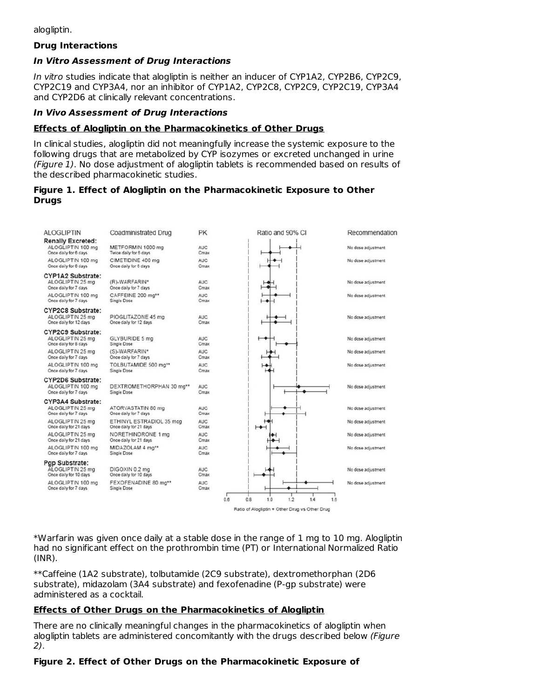alogliptin.

#### **Drug Interactions**

#### **In Vitro Assessment of Drug Interactions**

In vitro studies indicate that alogliptin is neither an inducer of CYP1A2, CYP2B6, CYP2C9, CYP2C19 and CYP3A4, nor an inhibitor of CYP1A2, CYP2C8, CYP2C9, CYP2C19, CYP3A4 and CYP2D6 at clinically relevant concentrations.

#### **In Vivo Assessment of Drug Interactions**

#### **Effects of Alogliptin on the Pharmacokinetics of Other Drugs**

In clinical studies, alogliptin did not meaningfully increase the systemic exposure to the following drugs that are metabolized by CYP isozymes or excreted unchanged in urine (Figure 1). No dose adjustment of alogliptin tablets is recommended based on results of the described pharmacokinetic studies.

#### **Figure 1. Effect of Alogliptin on the Pharmacokinetic Exposure to Other Drugs**

| <b>ALOGLIPTIN</b>                                                                          | Coadministrated Drug                                        | PK                        | Ratio and 90% CI                               | Recommendation                           |
|--------------------------------------------------------------------------------------------|-------------------------------------------------------------|---------------------------|------------------------------------------------|------------------------------------------|
| <b>Renally Excreted:</b><br>ALOGLIPTIN 100 mg<br>Once daily for 6 days                     | METFORMIN 1000 mg<br>Twice daily for 6 days                 | AUC<br>Cmax               |                                                | No dose adjustment                       |
| ALOGLIPTIN 100 mg<br>Once daily for 6 days                                                 | CIMETIDINE 400 mg<br>Once daily for 6 days                  | <b>AUC</b><br>Cmax        |                                                | No dose adjustment                       |
| <b>CYP1A2 Substrate:</b><br>ALOGLIPTIN 25 mg<br>Once daily for 7 days<br>ALOGLIPTIN 100 mg | (R)-WARFARIN*<br>Once daily for 7 days<br>CAFFEINE 200 mg** | AUC<br>Cmax<br><b>AUC</b> |                                                | No dose adjustment<br>No dose adjustment |
| Once daily for 7 days                                                                      | Single Dose                                                 | Cmax                      |                                                |                                          |
| <b>CYP2C8 Substrate:</b><br>ALOGLIPTIN 25 mg<br>Once daily for 12 days                     | PIOGLITAZONE 45 mg<br>Once daily for 12 days                | <b>AUC</b><br>Cmax        |                                                | No dose adjustment                       |
| CYP2C9 Substrate:<br>ALOGLIPTIN 25 mg<br>Once daily for 8 days                             | GLYBURIDE 5 mg<br>Single Dose                               | AUC<br>Cmax               |                                                | No dose adjustment                       |
| ALOGLIPTIN 25 mg<br>Once daily for 7 days                                                  | (S)-WARFARIN*<br>Once daily for 7 days                      | <b>AUC</b><br>Cmax        |                                                | No dose adjustment                       |
| ALOGLIPTIN 100 mg<br>Once daily for 7 days                                                 | TOLBUTAMIDE 500 mg**<br>Single Dose                         | <b>AUC</b><br>Cmax        |                                                | No dose adjustment                       |
| <b>CYP2D6 Substrate:</b><br>ALOGLIPTIN 100 mg<br>Once daily for 7 days                     | DEXTROMETHORPHAN 30 mg**<br>Single Dose                     | <b>AUC</b><br>Cmax        |                                                | No dose adjustment                       |
| CYP3A4 Substrate:<br>ALOGLIPTIN 25 mg<br>Once daily for 7 days                             | ATORVASTATIN 80 mg<br>Once daily for 7 days                 | <b>AUC</b><br>Cmax        |                                                | No dose adjustment                       |
| ALOGLIPTIN 25 mg<br>Once daily for 21 days                                                 | ETHINYL ESTRADIOL 35 mcg<br>Once daily for 21 days          | AUC-<br>Cmax              | ⊢                                              | No dose adjustment                       |
| ALOGLIPTIN 25 mg<br>Once daily for 21 days                                                 | NORETHINDRONE 1 mg<br>Once daily for 21 days                | <b>AUC</b><br>Cmax        |                                                | No dose adjustment                       |
| ALOGLIPTIN 100 mg<br>Once daily for 7 days                                                 | MIDAZOLAM 4 mg**<br>Single Dose                             | <b>AUC</b><br>Cmax        |                                                | No dose adjustment                       |
| Pgp Substrate:<br>ALOGLIPTIN 25 mg<br>Once daily for 10 days                               | DIGOXIN 0.2 mg<br>Once daily for 10 days                    | <b>AUC</b><br>Cmax        |                                                | No dose adjustment                       |
| ALOGLIPTIN 100 mg<br>Once daily for 7 days                                                 | FEXOFENADINE 80 mg**<br>Single Dose                         | <b>AUC</b><br>Cmax        |                                                | No dose adjustment                       |
|                                                                                            |                                                             |                           | 0.6<br>0.8<br>1.0<br>1.2<br>1.4                | 1.6                                      |
|                                                                                            |                                                             |                           | Ratio of Alogliptin + Other Drug vs Other Drug |                                          |

\*Warfarin was given once daily at a stable dose in the range of 1 mg to 10 mg. Alogliptin had no significant effect on the prothrombin time (PT) or International Normalized Ratio (INR).

\*\*Caffeine (1A2 substrate), tolbutamide (2C9 substrate), dextromethorphan (2D6 substrate), midazolam (3A4 substrate) and fexofenadine (P-gp substrate) were administered as a cocktail.

#### **Effects of Other Drugs on the Pharmacokinetics of Alogliptin**

There are no clinically meaningful changes in the pharmacokinetics of alogliptin when alogliptin tablets are administered concomitantly with the drugs described below (Figure 2).

#### **Figure 2. Effect of Other Drugs on the Pharmacokinetic Exposure of**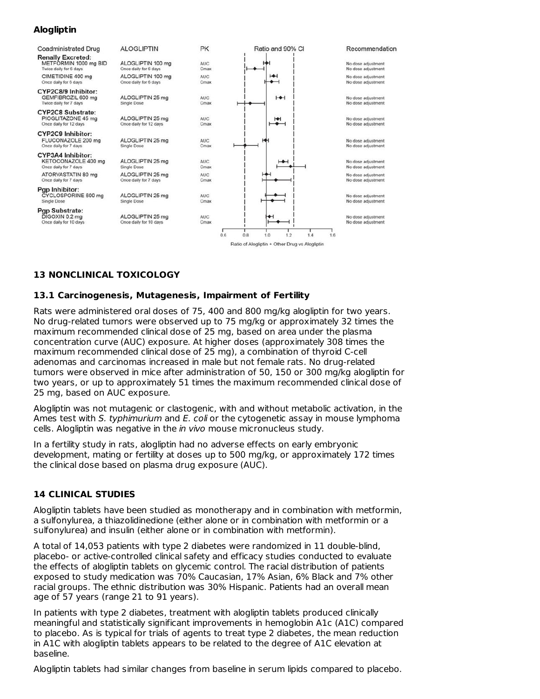# **Alogliptin**



# **13 NONCLINICAL TOXICOLOGY**

#### **13.1 Carcinogenesis, Mutagenesis, Impairment of Fertility**

Rats were administered oral doses of 75, 400 and 800 mg/kg alogliptin for two years. No drug-related tumors were observed up to 75 mg/kg or approximately 32 times the maximum recommended clinical dose of 25 mg, based on area under the plasma concentration curve (AUC) exposure. At higher doses (approximately 308 times the maximum recommended clinical dose of 25 mg), a combination of thyroid C-cell adenomas and carcinomas increased in male but not female rats. No drug-related tumors were observed in mice after administration of 50, 150 or 300 mg/kg alogliptin for two years, or up to approximately 51 times the maximum recommended clinical dose of 25 mg, based on AUC exposure.

Alogliptin was not mutagenic or clastogenic, with and without metabolic activation, in the Ames test with S. typhimurium and E. coli or the cytogenetic assay in mouse lymphoma cells. Alogliptin was negative in the *in vivo* mouse micronucleus study.

In a fertility study in rats, alogliptin had no adverse effects on early embryonic development, mating or fertility at doses up to 500 mg/kg, or approximately 172 times the clinical dose based on plasma drug exposure (AUC).

### **14 CLINICAL STUDIES**

Alogliptin tablets have been studied as monotherapy and in combination with metformin, a sulfonylurea, a thiazolidinedione (either alone or in combination with metformin or a sulfonylurea) and insulin (either alone or in combination with metformin).

A total of 14,053 patients with type 2 diabetes were randomized in 11 double-blind, placebo- or active-controlled clinical safety and efficacy studies conducted to evaluate the effects of alogliptin tablets on glycemic control. The racial distribution of patients exposed to study medication was 70% Caucasian, 17% Asian, 6% Black and 7% other racial groups. The ethnic distribution was 30% Hispanic. Patients had an overall mean age of 57 years (range 21 to 91 years).

In patients with type 2 diabetes, treatment with alogliptin tablets produced clinically meaningful and statistically significant improvements in hemoglobin A1c (A1C) compared to placebo. As is typical for trials of agents to treat type 2 diabetes, the mean reduction in A1C with alogliptin tablets appears to be related to the degree of A1C elevation at baseline.

Alogliptin tablets had similar changes from baseline in serum lipids compared to placebo.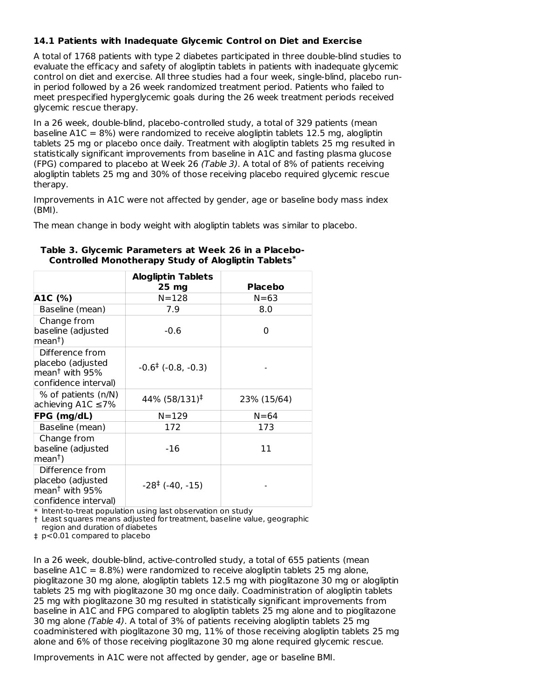### **14.1 Patients with Inadequate Glycemic Control on Diet and Exercise**

A total of 1768 patients with type 2 diabetes participated in three double-blind studies to evaluate the efficacy and safety of alogliptin tablets in patients with inadequate glycemic control on diet and exercise. All three studies had a four week, single-blind, placebo runin period followed by a 26 week randomized treatment period. Patients who failed to meet prespecified hyperglycemic goals during the 26 week treatment periods received glycemic rescue therapy.

In a 26 week, double-blind, placebo-controlled study, a total of 329 patients (mean baseline  $A1C = 8\%$ ) were randomized to receive alogliptin tablets 12.5 mg, alogliptin tablets 25 mg or placebo once daily. Treatment with alogliptin tablets 25 mg resulted in statistically significant improvements from baseline in A1C and fasting plasma glucose (FPG) compared to placebo at Week 26 (Table 3). A total of 8% of patients receiving alogliptin tablets 25 mg and 30% of those receiving placebo required glycemic rescue therapy.

Improvements in A1C were not affected by gender, age or baseline body mass index (BMI).

The mean change in body weight with alogliptin tablets was similar to placebo.

|                                                                                                | <b>Alogliptin Tablets</b>          |                |
|------------------------------------------------------------------------------------------------|------------------------------------|----------------|
|                                                                                                | 25 <sub>mg</sub>                   | <b>Placebo</b> |
| A1C (%)                                                                                        | $N = 128$                          | $N = 63$       |
| Baseline (mean)                                                                                | 7.9                                | 8.0            |
| Change from<br>baseline (adjusted<br>$ mean†$ )                                                | $-0.6$                             | 0              |
| Difference from<br>placebo (adjusted<br>$ $ mean $^{\dagger}$ with 95%<br>confidence interval) | $-0.6^{\ddagger}$ ( $-0.8, -0.3$ ) |                |
| % of patients (n/N)<br>achieving A1C $\leq$ 7%                                                 | 44% (58/131) <sup>‡</sup>          | 23% (15/64)    |
| FPG (mg/dL)                                                                                    | $N = 129$                          | $N = 64$       |
| Baseline (mean)                                                                                | 172                                | 173            |
| Change from<br>baseline (adjusted<br>$ mean†$ )                                                | -16                                | 11             |
| Difference from<br>placebo (adjusted<br>$m$ ean <sup>†</sup> with 95%<br>confidence interval)  | $-28^{\ddagger}$ (-40, -15)        |                |

#### **Table 3. Glycemic Parameters at Week 26 in a Placebo-Controlled Monotherapy Study of Alogliptin Tablets \***

\* Intent-to-treat population using last observation on study

† Least squares means adjusted for treatment, baseline value, geographic

region and duration of diabetes

‡ p<0.01 compared to placebo

In a 26 week, double-blind, active-controlled study, a total of 655 patients (mean baseline A1C = 8.8%) were randomized to receive alogliptin tablets 25 mg alone, pioglitazone 30 mg alone, alogliptin tablets 12.5 mg with pioglitazone 30 mg or alogliptin tablets 25 mg with pioglitazone 30 mg once daily. Coadministration of alogliptin tablets 25 mg with pioglitazone 30 mg resulted in statistically significant improvements from baseline in A1C and FPG compared to alogliptin tablets 25 mg alone and to pioglitazone 30 mg alone (Table 4). A total of 3% of patients receiving alogliptin tablets 25 mg coadministered with pioglitazone 30 mg, 11% of those receiving alogliptin tablets 25 mg alone and 6% of those receiving pioglitazone 30 mg alone required glycemic rescue.

Improvements in A1C were not affected by gender, age or baseline BMI.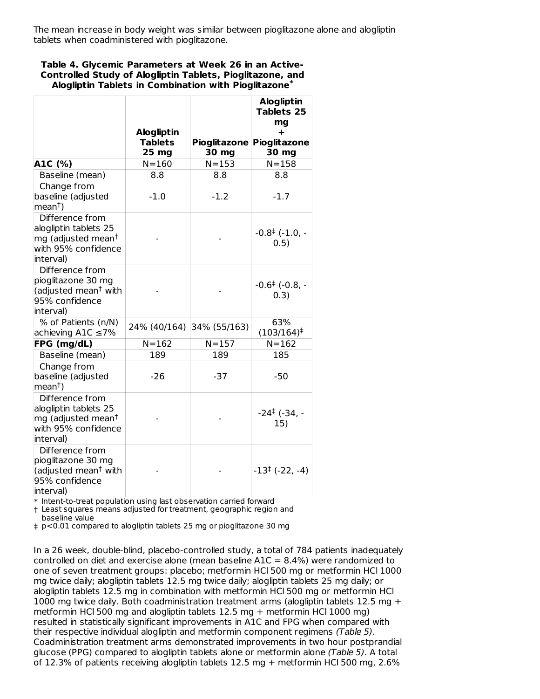The mean increase in body weight was similar between pioglitazone alone and alogliptin tablets when coadministered with pioglitazone.

#### **Table 4. Glycemic Parameters at Week 26 in an Active-Controlled Study of Alogliptin Tablets, Pioglitazone, and Alogliptin Tablets in Combination with Pioglitazone \***

|                                                                                                                | <b>Alogliptin</b><br><b>Tablets</b><br>25 <sub>mg</sub> | <b>Pioglitazone</b><br>30 mg | <b>Alogliptin</b><br><b>Tablets 25</b><br>ma<br>÷<br><b>Pioglitazone</b><br>30 mg |
|----------------------------------------------------------------------------------------------------------------|---------------------------------------------------------|------------------------------|-----------------------------------------------------------------------------------|
| A1C (%)                                                                                                        | $N = 160$                                               | $N = 153$                    | $N = 158$                                                                         |
| Baseline (mean)                                                                                                | 8.8                                                     | 8.8                          | 8.8                                                                               |
| Change from<br>baseline (adjusted<br>mean <sup>†</sup> )                                                       | $-1.0$                                                  | $-1.2$                       | $-1.7$                                                                            |
| Difference from<br>alogliptin tablets 25<br>mg (adjusted mean <sup>†</sup><br>with 95% confidence<br>interval) |                                                         |                              | $-0.8^{\ddagger}$ (-1.0, -<br>0.5)                                                |
| Difference from<br>pioglitazone 30 mg<br>(adjusted mean <sup>†</sup> with<br>95% confidence<br>interval)       |                                                         |                              | $-0.6^{\ddagger}$ (-0.8, -<br>0.3)                                                |
| % of Patients (n/N)<br>achieving A1C ≤7%                                                                       | 24% (40/164)                                            | 34% (55/163)                 | 63%<br>$(103/164)^{\ddagger}$                                                     |
| FPG (mg/dL)                                                                                                    | $N = 162$                                               | $N = 157$                    | $N = 162$                                                                         |
| Baseline (mean)                                                                                                | 189                                                     | 189                          | 185                                                                               |
| Change from<br>baseline (adjusted<br>$ mean†$ )                                                                | $-26$                                                   | -37                          | $-50$                                                                             |
| Difference from<br>alogliptin tablets 25<br>mg (adjusted mean <sup>†</sup><br>with 95% confidence<br>interval) |                                                         |                              | $-24^{\ddagger}$ (-34, -<br>15)                                                   |
| Difference from<br>pioglitazone 30 mg<br>(adjusted mean <sup>†</sup> with<br>95% confidence<br>interval)       |                                                         |                              | $-13^{\ddagger}$ (-22, -4)                                                        |

\* Intent-to-treat population using last observation carried forward

† Least squares means adjusted for treatment, geographic region and baseline value

‡ p<0.01 compared to alogliptin tablets 25 mg or pioglitazone 30 mg

In a 26 week, double-blind, placebo-controlled study, a total of 784 patients inadequately controlled on diet and exercise alone (mean baseline  $A1C = 8.4\%$ ) were randomized to one of seven treatment groups: placebo; metformin HCl 500 mg or metformin HCl 1000 mg twice daily; alogliptin tablets 12.5 mg twice daily; alogliptin tablets 25 mg daily; or alogliptin tablets 12.5 mg in combination with metformin HCl 500 mg or metformin HCl 1000 mg twice daily. Both coadministration treatment arms (alogliptin tablets 12.5 mg  $+$ metformin HCl 500 mg and alogliptin tablets 12.5 mg + metformin HCl 1000 mg) resulted in statistically significant improvements in A1C and FPG when compared with their respective individual alogliptin and metformin component regimens (Table 5). Coadministration treatment arms demonstrated improvements in two hour postprandial glucose (PPG) compared to alogliptin tablets alone or metformin alone (Table 5). A total of 12.3% of patients receiving alogliptin tablets 12.5 mg + metformin HCl 500 mg, 2.6%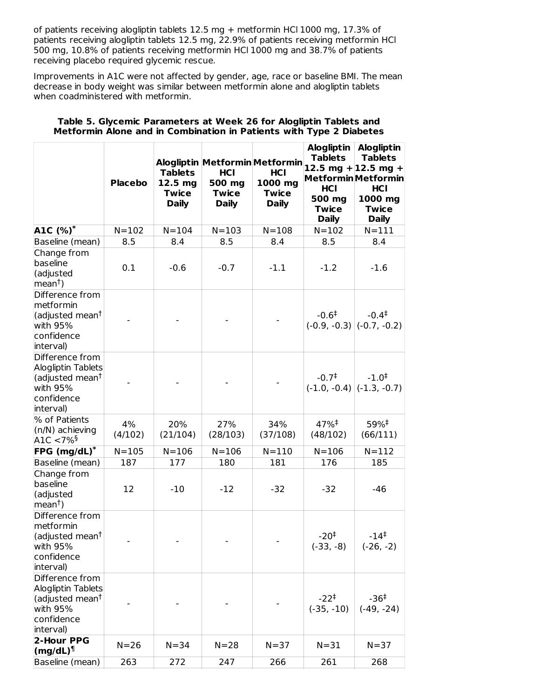of patients receiving alogliptin tablets 12.5 mg + metformin HCl 1000 mg, 17.3% of patients receiving alogliptin tablets 12.5 mg, 22.9% of patients receiving metformin HCl 500 mg, 10.8% of patients receiving metformin HCl 1000 mg and 38.7% of patients receiving placebo required glycemic rescue.

Improvements in A1C were not affected by gender, age, race or baseline BMI. The mean decrease in body weight was similar between metformin alone and alogliptin tablets when coadministered with metformin.

|                                                                                                             | <b>Placebo</b> | <b>Tablets</b><br>12.5 <sub>mg</sub><br><b>Twice</b><br><b>Daily</b> | Alogliptin Metformin Metformin<br><b>HCI</b><br>500 mg<br><b>Twice</b><br><b>Daily</b> | HCI<br>1000 mg<br><b>Twice</b><br><b>Daily</b> | <b>Tablets</b><br><b>HCI</b><br>500 mg<br><b>Twice</b><br><b>Daily</b> | Alogliptin   Alogliptin<br><b>Tablets</b><br>12.5 mg + 12.5 mg +<br><b>Metformin</b> Metformin<br><b>HCI</b><br>1000 mg<br><b>Twice</b><br><b>Daily</b> |
|-------------------------------------------------------------------------------------------------------------|----------------|----------------------------------------------------------------------|----------------------------------------------------------------------------------------|------------------------------------------------|------------------------------------------------------------------------|---------------------------------------------------------------------------------------------------------------------------------------------------------|
| A1C (%)*                                                                                                    | $N = 102$      | $N = 104$                                                            | $N = 103$                                                                              | $N = 108$                                      | $N = 102$                                                              | $N = 111$                                                                                                                                               |
| Baseline (mean)                                                                                             | 8.5            | 8.4                                                                  | 8.5                                                                                    | 8.4                                            | 8.5                                                                    | 8.4                                                                                                                                                     |
| Change from<br>baseline<br>(adjusted<br>$ mean^{\dagger})$                                                  | 0.1            | $-0.6$                                                               | $-0.7$                                                                                 | $-1.1$                                         | $-1.2$                                                                 | $-1.6$                                                                                                                                                  |
| Difference from<br>metformin<br>(adjusted mean <sup>t</sup><br>with 95%<br>confidence<br>interval)          |                |                                                                      |                                                                                        |                                                | $-0.6^{\ddagger}$                                                      | $-0.4^{\ddagger}$<br>$(-0.9, -0.3)$ $(-0.7, -0.2)$                                                                                                      |
| Difference from<br>Alogliptin Tablets<br>(adjusted mean <sup>†</sup><br>with 95%<br>confidence<br>interval) |                |                                                                      |                                                                                        |                                                | $-0.7^{\ddagger}$                                                      | $-1.0^{+}$<br>$(-1.0, -0.4)$ $(-1.3, -0.7)$                                                                                                             |
| % of Patients<br>(n/N) achieving<br>A1C $< 7\%$ <sup>§</sup>                                                | 4%<br>(4/102)  | 20%<br>(21/104)                                                      | 27%<br>(28/103)                                                                        | 34%<br>(37/108)                                | 47% <sup>‡</sup><br>(48/102)                                           | 59%#<br>(66/111)                                                                                                                                        |
| FPG $(mg/dL)^*$                                                                                             | $N = 105$      | $N = 106$                                                            | $N = 106$                                                                              | $N = 110$                                      | $N = 106$                                                              | $N = 112$                                                                                                                                               |
| Baseline (mean)                                                                                             | 187            | 177                                                                  | 180                                                                                    | 181                                            | 176                                                                    | 185                                                                                                                                                     |
| Change from<br>baseline<br>(adjusted<br> mean <sup>†</sup>                                                  | 12             | $-10$                                                                | $-12$                                                                                  | $-32$                                          | $-32$                                                                  | -46                                                                                                                                                     |
| Difference from<br>metformin<br>(adjusted mean <sup>t</sup><br>with 95%<br>confidence<br>interval)          |                |                                                                      |                                                                                        |                                                | $-20^{\ddagger}$<br>$(-33, -8)$                                        | $-14^{\ddagger}$<br>$(-26, -2)$                                                                                                                         |
| Difference from<br>Alogliptin Tablets<br>(adjusted mean <sup>†</sup><br>with 95%<br>confidence<br>interval) |                |                                                                      |                                                                                        |                                                | $-22^+$<br>$(-35, -10)$                                                | $-36^{\ddagger}$<br>$(-49, -24)$                                                                                                                        |
| 2-Hour PPG<br>$\frac{1}{2}$ (mg/dL) <sup>1</sup>                                                            | $N = 26$       | $N = 34$                                                             | $N = 28$                                                                               | $N = 37$                                       | $N = 31$                                                               | $N = 37$                                                                                                                                                |
| Baseline (mean)                                                                                             | 263            | 272                                                                  | 247                                                                                    | 266                                            | 261                                                                    | 268                                                                                                                                                     |

### **Table 5. Glycemic Parameters at Week 26 for Alogliptin Tablets and Metformin Alone and in Combination in Patients with Type 2 Diabetes**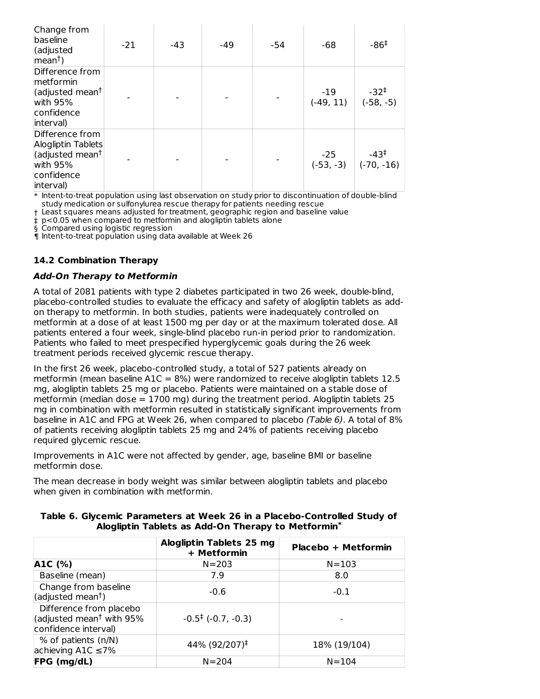| Change from<br>baseline<br>(adjusted<br> mean <sup>†</sup>                                                    | $-21$ | -43 | -49 | -54 | -68                | $-86‡$                                       |
|---------------------------------------------------------------------------------------------------------------|-------|-----|-----|-----|--------------------|----------------------------------------------|
| Difference from<br>metformin<br>(adjusted mean <sup>†</sup><br>with 95%<br>confidence<br>interval)            |       |     |     |     | -19<br>$(-49, 11)$ | $-32^{\ddagger}$<br>$(-58, -5)$              |
| Difference from<br>Alogliptin Tablets<br>(adjusted mean <sup>†</sup><br>with $95%$<br>confidence<br>interval) |       |     |     |     | $-25$              | $-43^{\ddagger}$<br>$(-53, -3)$ $(-70, -16)$ |

\* Intent-to-treat population using last observation on study prior to discontinuation of double-blind study medication or sulfonylurea rescue therapy for patients needing rescue

† Least squares means adjusted for treatment, geographic region and baseline value

‡ p<0.05 when compared to metformin and alogliptin tablets alone

§ Compared using logistic regression

¶ Intent-to-treat population using data available at Week 26

### **14.2 Combination Therapy**

#### **Add-On Therapy to Metformin**

A total of 2081 patients with type 2 diabetes participated in two 26 week, double-blind, placebo-controlled studies to evaluate the efficacy and safety of alogliptin tablets as addon therapy to metformin. In both studies, patients were inadequately controlled on metformin at a dose of at least 1500 mg per day or at the maximum tolerated dose. All patients entered a four week, single-blind placebo run-in period prior to randomization. Patients who failed to meet prespecified hyperglycemic goals during the 26 week treatment periods received glycemic rescue therapy.

In the first 26 week, placebo-controlled study, a total of 527 patients already on metformin (mean baseline  $A1C = 8%$ ) were randomized to receive alogliptin tablets 12.5 mg, alogliptin tablets 25 mg or placebo. Patients were maintained on a stable dose of metformin (median dose  $= 1700$  mg) during the treatment period. Alogliptin tablets 25 mg in combination with metformin resulted in statistically significant improvements from baseline in A1C and FPG at Week 26, when compared to placebo (Table 6). A total of 8% of patients receiving alogliptin tablets 25 mg and 24% of patients receiving placebo required glycemic rescue.

Improvements in A1C were not affected by gender, age, baseline BMI or baseline metformin dose.

The mean decrease in body weight was similar between alogliptin tablets and placebo when given in combination with metformin.

|                                                                                         | Alogliptin Tablets 25 mg<br>+ Metformin | Placebo + Metformin |
|-----------------------------------------------------------------------------------------|-----------------------------------------|---------------------|
| A1C (%)                                                                                 | $N = 203$                               | $N = 103$           |
| Baseline (mean)                                                                         | 7.9                                     | 8.0                 |
| Change from baseline<br>(adjusted mean <sup>†</sup> )                                   | $-0.6$                                  | $-0.1$              |
| Difference from placebo<br>(adjusted mean <sup>†</sup> with 95%<br>confidence interval) | $-0.5^{\ddagger}$ (-0.7, -0.3)          |                     |
| % of patients (n/N)<br>achieving A1C $\leq$ 7%                                          | 44% (92/207) <sup>‡</sup>               | 18% (19/104)        |
| FPG (mg/dL)                                                                             | $N = 204$                               | $N = 104$           |

#### **Table 6. Glycemic Parameters at Week 26 in a Placebo-Controlled Study of Alogliptin Tablets as Add-On Therapy to Metformin \***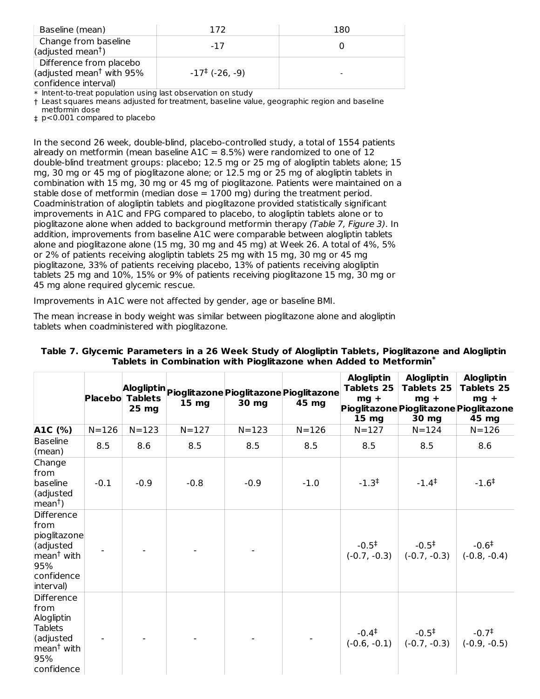| Baseline (mean)                                                                         | 172                        | 180 |
|-----------------------------------------------------------------------------------------|----------------------------|-----|
| Change from baseline<br>(adjusted mean <sup>†</sup> )                                   | -17                        |     |
| Difference from placebo<br>(adjusted mean <sup>†</sup> with 95%<br>confidence interval) | $-17^{\ddagger}$ (-26, -9) |     |

\* Intent-to-treat population using last observation on study

† Least squares means adjusted for treatment, baseline value, geographic region and baseline metformin dose

‡ p<0.001 compared to placebo

In the second 26 week, double-blind, placebo-controlled study, a total of 1554 patients already on metformin (mean baseline  $A1C = 8.5\%$ ) were randomized to one of 12 double-blind treatment groups: placebo; 12.5 mg or 25 mg of alogliptin tablets alone; 15 mg, 30 mg or 45 mg of pioglitazone alone; or 12.5 mg or 25 mg of alogliptin tablets in combination with 15 mg, 30 mg or 45 mg of pioglitazone. Patients were maintained on a stable dose of metformin (median dose  $= 1700$  mg) during the treatment period. Coadministration of alogliptin tablets and pioglitazone provided statistically significant improvements in A1C and FPG compared to placebo, to alogliptin tablets alone or to pioglitazone alone when added to background metformin therapy (Table 7, Figure 3). In addition, improvements from baseline A1C were comparable between alogliptin tablets alone and pioglitazone alone (15 mg, 30 mg and 45 mg) at Week 26. A total of 4%, 5% or 2% of patients receiving alogliptin tablets 25 mg with 15 mg, 30 mg or 45 mg pioglitazone, 33% of patients receiving placebo, 13% of patients receiving alogliptin tablets 25 mg and 10%, 15% or 9% of patients receiving pioglitazone 15 mg, 30 mg or 45 mg alone required glycemic rescue.

Improvements in A1C were not affected by gender, age or baseline BMI.

The mean increase in body weight was similar between pioglitazone alone and alogliptin tablets when coadministered with pioglitazone.

|                                                                                                                | Placebo   | <b>Tablets</b><br>25 mg | Alogliptin Pioglitazone Pioglitazone Pioglitazone<br>15 <sub>mg</sub> | 30 mg     | 45 mg     | <b>Alogliptin</b><br>Tablets 25<br>$mg +$<br>15 <sub>mg</sub> | <b>Alogliptin</b><br><b>Tablets 25</b><br>$mq +$<br>30 mg | <b>Alogliptin</b><br><b>Tablets 25</b><br>$mg +$<br>Pioglitazone Pioglitazone Pioglitazone<br>45 mg |
|----------------------------------------------------------------------------------------------------------------|-----------|-------------------------|-----------------------------------------------------------------------|-----------|-----------|---------------------------------------------------------------|-----------------------------------------------------------|-----------------------------------------------------------------------------------------------------|
| A1C (%)                                                                                                        | $N = 126$ | $N = 123$               | $N = 127$                                                             | $N = 123$ | $N = 126$ | $N = 127$                                                     | $N = 124$                                                 | $N = 126$                                                                                           |
| <b>Baseline</b><br>(mean)                                                                                      | 8.5       | 8.6                     | 8.5                                                                   | 8.5       | 8.5       | 8.5                                                           | 8.5                                                       | 8.6                                                                                                 |
| Change<br>from<br>baseline<br>(adjusted<br>$ mean^{\dagger})$                                                  | $-0.1$    | $-0.9$                  | $-0.8$                                                                | $-0.9$    | $-1.0$    | $-1.3^{\ddagger}$                                             | $-1.4^{\ddagger}$                                         | $-1.6^{\ddagger}$                                                                                   |
| Difference<br>from<br>pioglitazone<br>(adjusted<br>mean <sup>t</sup> with<br>95%<br>confidence<br>interval)    |           |                         |                                                                       |           |           | $-0.5^{\ddagger}$<br>$(-0.7, -0.3)$                           | $-0.5^{\ddagger}$<br>$(-0.7, -0.3)$                       | $-0.6^{\ddagger}$<br>$(-0.8, -0.4)$                                                                 |
| Difference<br>from<br>Alogliptin<br><b>Tablets</b><br>(adjusted<br>mean <sup>t</sup> with<br>95%<br>confidence |           |                         |                                                                       |           |           | $-0.4^{\ddagger}$                                             | $-0.5^{\ddagger}$<br>$(-0.6, -0.1)$ $(-0.7, -0.3)$        | $-0.7^{\ddagger}$<br>$(-0.9, -0.5)$                                                                 |

#### **Table 7. Glycemic Parameters in a 26 Week Study of Alogliptin Tablets, Pioglitazone and Alogliptin Tablets in Combination with Pioglitazone when Added to Metformin \***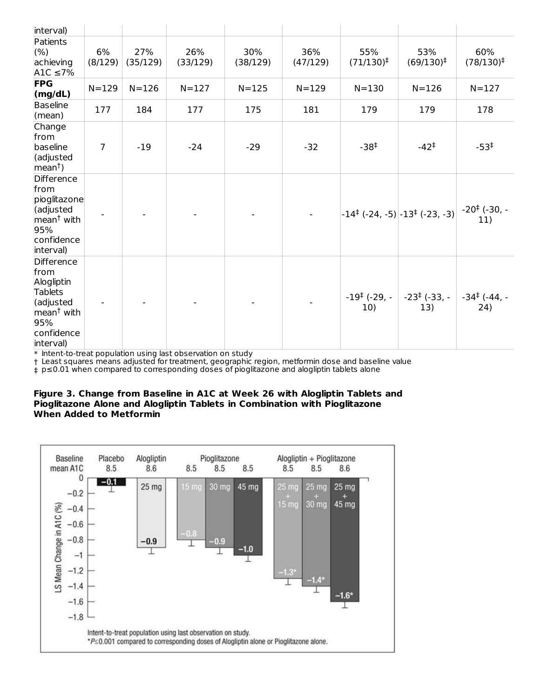| interval)                                                                                                                   |                |                 |                 |                 |                 |                                 |                                                       |                                 |
|-----------------------------------------------------------------------------------------------------------------------------|----------------|-----------------|-----------------|-----------------|-----------------|---------------------------------|-------------------------------------------------------|---------------------------------|
| Patients<br>(% )<br>achieving<br>A1C $\leq$ 7%                                                                              | 6%<br>(8/129)  | 27%<br>(35/129) | 26%<br>(33/129) | 30%<br>(38/129) | 36%<br>(47/129) | 55%<br>$(71/130)^{\ddagger}$    | 53%<br>$(69/130)^{\ddagger}$                          | 60%<br>$(78/130)^{\ddagger}$    |
| <b>FPG</b><br>(mg/dL)                                                                                                       | $N = 129$      | $N = 126$       | $N = 127$       | $N = 125$       | $N = 129$       | $N = 130$                       | $N = 126$                                             | $N = 127$                       |
| Baseline<br>(mean)                                                                                                          | 177            | 184             | 177             | 175             | 181             | 179                             | 179                                                   | 178                             |
| Change<br>from<br>baseline<br>(adjusted<br>$mean†$ )                                                                        | $\overline{7}$ | $-19$           | $-24$           | $-29$           | $-32$           | $-38‡$                          | $-42^+$                                               | $-53^{\ddagger}$                |
| Difference<br>from<br>pioglitazone<br>(adjusted<br>mean <sup>t</sup> with<br>95%<br>confidence<br>interval)                 |                |                 |                 |                 |                 |                                 | $-14^{\ddagger}$ (-24, -5) $-13^{\ddagger}$ (-23, -3) | $-20^{\ddagger}$ (-30, -<br>11) |
| Difference<br>from<br>Alogliptin<br><b>Tablets</b><br>(adjusted<br>mean <sup>†</sup> with<br>95%<br>confidence<br>interval) |                |                 |                 |                 |                 | $-19^{\ddagger}$ (-29, -<br>10) | $-23^{\ddagger}$ (-33, -<br>13)                       | $-34^{\ddagger}$ (-44, -<br>24) |

\* Intent-to-treat population using last observation on study

† Least squares means adjusted for treatment, geographic region, metformin dose and baseline value

‡ p≤0.01 when compared to corresponding doses of pioglitazone and alogliptin tablets alone

#### **Figure 3. Change from Baseline in A1C at Week 26 with Alogliptin Tablets and Pioglitazone Alone and Alogliptin Tablets in Combination with Pioglitazone When Added to Metformin**

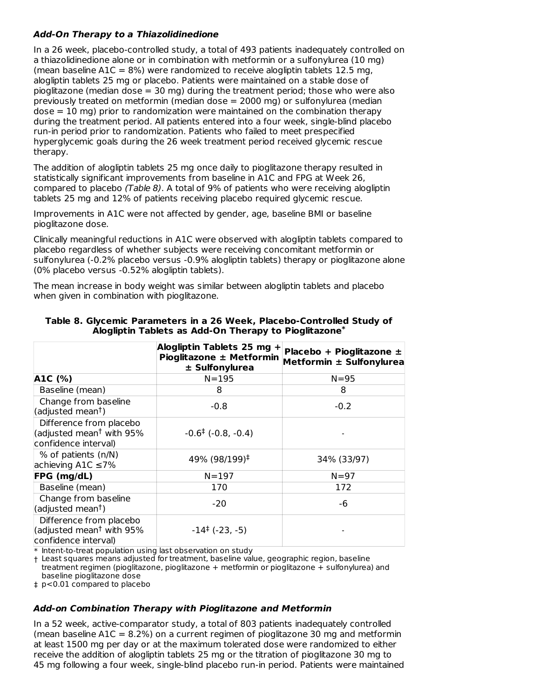# **Add-On Therapy to a Thiazolidinedione**

In a 26 week, placebo-controlled study, a total of 493 patients inadequately controlled on a thiazolidinedione alone or in combination with metformin or a sulfonylurea (10 mg) (mean baseline  $A1C = 8%$ ) were randomized to receive alogliptin tablets 12.5 mg, alogliptin tablets 25 mg or placebo. Patients were maintained on a stable dose of pioglitazone (median dose = 30 mg) during the treatment period; those who were also previously treated on metformin (median dose = 2000 mg) or sulfonylurea (median dose = 10 mg) prior to randomization were maintained on the combination therapy during the treatment period. All patients entered into a four week, single-blind placebo run-in period prior to randomization. Patients who failed to meet prespecified hyperglycemic goals during the 26 week treatment period received glycemic rescue therapy.

The addition of alogliptin tablets 25 mg once daily to pioglitazone therapy resulted in statistically significant improvements from baseline in A1C and FPG at Week 26, compared to placebo (Table 8). A total of 9% of patients who were receiving alogliptin tablets 25 mg and 12% of patients receiving placebo required glycemic rescue.

Improvements in A1C were not affected by gender, age, baseline BMI or baseline pioglitazone dose.

Clinically meaningful reductions in A1C were observed with alogliptin tablets compared to placebo regardless of whether subjects were receiving concomitant metformin or sulfonylurea (-0.2% placebo versus -0.9% alogliptin tablets) therapy or pioglitazone alone (0% placebo versus -0.52% alogliptin tablets).

The mean increase in body weight was similar between alogliptin tablets and placebo when given in combination with pioglitazone.

|                                                                                         | Alogliptin Tablets 25 mg +<br>Pioglitazone ± Metformin<br>$±$ Sulfonylurea | Placebo + Pioglitazone ±<br>Metformin ± Sulfonylurea |
|-----------------------------------------------------------------------------------------|----------------------------------------------------------------------------|------------------------------------------------------|
| A1C (%)                                                                                 | $N = 195$                                                                  | $N = 95$                                             |
| Baseline (mean)                                                                         | 8                                                                          | 8                                                    |
| Change from baseline<br>(adjusted mean <sup>†</sup> )                                   | $-0.8$                                                                     | $-0.2$                                               |
| Difference from placebo<br>(adjusted mean <sup>†</sup> with 95%<br>confidence interval) | $-0.6^{\ddagger}$ ( $-0.8, -0.4$ )                                         |                                                      |
| % of patients (n/N)<br>achieving A1C $\leq$ 7%                                          | 49% (98/199) <sup>‡</sup>                                                  | 34% (33/97)                                          |
| <b>FPG</b> (mg/dL)                                                                      | $N = 197$                                                                  | $N = 97$                                             |
| Baseline (mean)                                                                         | 170                                                                        | 172                                                  |
| Change from baseline<br>(adjusted mean <sup>†</sup> )                                   | $-20$                                                                      | -6                                                   |
| Difference from placebo<br>(adjusted mean <sup>†</sup> with 95%<br>confidence interval) | $-14^{\ddagger}$ (-23, -5)                                                 |                                                      |

#### **Table 8. Glycemic Parameters in a 26 Week, Placebo-Controlled Study of Alogliptin Tablets as Add-On Therapy to Pioglitazone \***

 $\ast$  Intent-to-treat population using last observation on study

† Least squares means adjusted for treatment, baseline value, geographic region, baseline treatment regimen (pioglitazone, pioglitazone + metformin or pioglitazone + sulfonylurea) and baseline pioglitazone dose

‡ p<0.01 compared to placebo

### **Add-on Combination Therapy with Pioglitazone and Metformin**

In a 52 week, active-comparator study, a total of 803 patients inadequately controlled (mean baseline  $A1C = 8.2\%$ ) on a current regimen of pioglitazone 30 mg and metformin at least 1500 mg per day or at the maximum tolerated dose were randomized to either receive the addition of alogliptin tablets 25 mg or the titration of pioglitazone 30 mg to 45 mg following a four week, single-blind placebo run-in period. Patients were maintained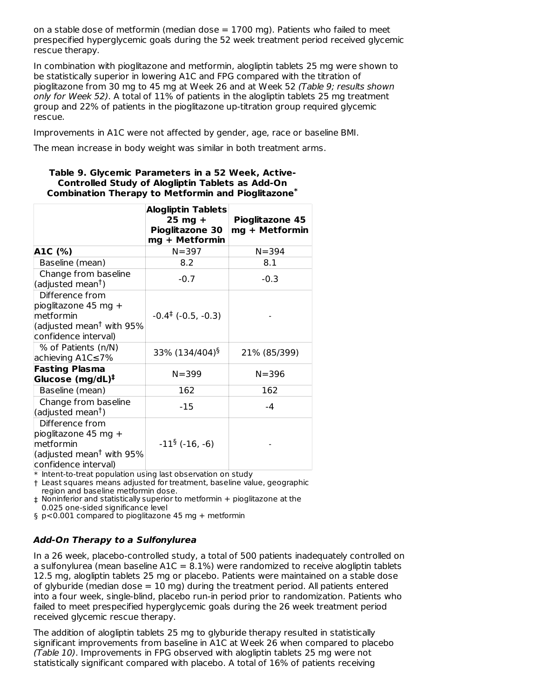on a stable dose of metformin (median dose  $= 1700$  mg). Patients who failed to meet prespecified hyperglycemic goals during the 52 week treatment period received glycemic rescue therapy.

In combination with pioglitazone and metformin, alogliptin tablets 25 mg were shown to be statistically superior in lowering A1C and FPG compared with the titration of pioglitazone from 30 mg to 45 mg at Week 26 and at Week 52 (Table 9; results shown only for Week 52). A total of 11% of patients in the alogliptin tablets 25 mg treatment group and 22% of patients in the pioglitazone up-titration group required glycemic rescue.

Improvements in A1C were not affected by gender, age, race or baseline BMI.

The mean increase in body weight was similar in both treatment arms.

#### **Table 9. Glycemic Parameters in a 52 Week, Active-Controlled Study of Alogliptin Tablets as Add-On Combination Therapy to Metformin and Pioglitazone \***

|                                                                                                                      | <b>Alogliptin Tablets</b><br>$25$ mg +<br>Pioglitazone 30<br>mg + Metformin | Pioglitazone 45<br>mg + Metformin |
|----------------------------------------------------------------------------------------------------------------------|-----------------------------------------------------------------------------|-----------------------------------|
| A1C (%)                                                                                                              | $N = 397$                                                                   | $N = 394$                         |
| Baseline (mean)                                                                                                      | 8.2                                                                         | 8.1                               |
| Change from baseline<br>(adjusted mean <sup>†</sup> )                                                                | $-0.7$                                                                      | $-0.3$                            |
| Difference from<br>pioglitazone 45 mg +<br>metformin<br>(adjusted mean <sup>†</sup> with 95%<br>confidence interval) | $-0.4^{\ddagger}$ ( $-0.5, -0.3$ )                                          |                                   |
| % of Patients (n/N)<br>achieving A1C≤7%                                                                              | 33% (134/404) <sup>§</sup>                                                  | 21% (85/399)                      |
| <b>Fasting Plasma</b><br>Glucose (mg/dL) <sup>‡</sup>                                                                | $N = 399$                                                                   | $N = 396$                         |
| Baseline (mean)                                                                                                      | 162                                                                         | 162                               |
| Change from baseline<br>(adjusted mean <sup>†</sup> )                                                                | -15                                                                         | -4                                |
| Difference from<br>pioglitazone 45 mg +<br>metformin<br>(adjusted mean <sup>†</sup> with 95%<br>confidence interval) | $-11^{\S}$ (-16, -6)                                                        |                                   |

\* Intent-to-treat population using last observation on study

† Least squares means adjusted for treatment, baseline value, geographic region and baseline metformin dose.

‡ Noninferior and statistically superior to metformin + pioglitazone at the 0.025 one-sided significance level

§ p<0.001 compared to pioglitazone 45 mg + metformin

### **Add-On Therapy to a Sulfonylurea**

In a 26 week, placebo-controlled study, a total of 500 patients inadequately controlled on a sulfonylurea (mean baseline  $A1C = 8.1\%$ ) were randomized to receive alogliptin tablets 12.5 mg, alogliptin tablets 25 mg or placebo. Patients were maintained on a stable dose of glyburide (median dose  $= 10$  mg) during the treatment period. All patients entered into a four week, single-blind, placebo run-in period prior to randomization. Patients who failed to meet prespecified hyperglycemic goals during the 26 week treatment period received glycemic rescue therapy.

The addition of alogliptin tablets 25 mg to glyburide therapy resulted in statistically significant improvements from baseline in A1C at Week 26 when compared to placebo (Table 10). Improvements in FPG observed with alogliptin tablets 25 mg were not statistically significant compared with placebo. A total of 16% of patients receiving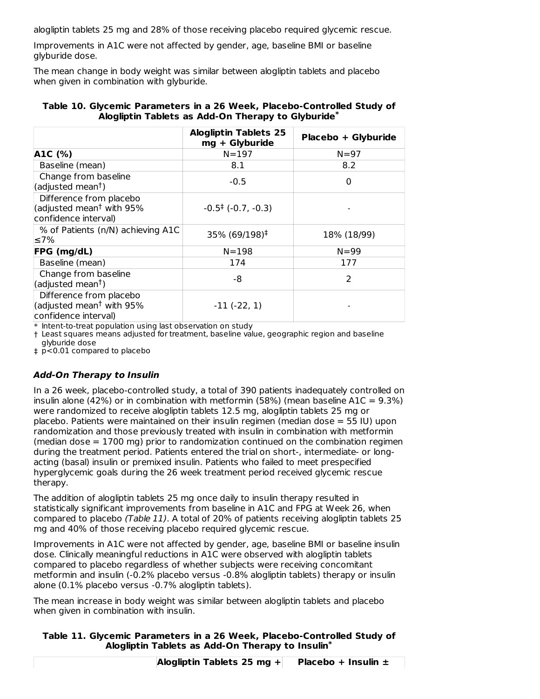alogliptin tablets 25 mg and 28% of those receiving placebo required glycemic rescue.

Improvements in A1C were not affected by gender, age, baseline BMI or baseline glyburide dose.

The mean change in body weight was similar between alogliptin tablets and placebo when given in combination with glyburide.

|                                                                                         | <b>Alogliptin Tablets 25</b><br>mg + Glyburide | Placebo + Glyburide |
|-----------------------------------------------------------------------------------------|------------------------------------------------|---------------------|
| A1C (%)                                                                                 | $N = 197$                                      | $N = 97$            |
| Baseline (mean)                                                                         | 8.1                                            | 8.2                 |
| Change from baseline<br>(adjusted mean <sup>†</sup> )                                   | $-0.5$                                         | 0                   |
| Difference from placebo<br>(adjusted mean <sup>†</sup> with 95%<br>confidence interval) | $-0.5^{\ddagger}$ (-0.7, -0.3)                 |                     |
| % of Patients (n/N) achieving A1C<br>≤7%                                                | 35% (69/198) <sup>‡</sup>                      | 18% (18/99)         |
| FPG (mg/dL)                                                                             | $N = 198$                                      | $N = 99$            |
| Baseline (mean)                                                                         | 174                                            | 177                 |
| Change from baseline<br>(adjusted mean <sup>†</sup> )                                   | -8                                             | $\overline{2}$      |
| Difference from placebo<br>(adjusted mean <sup>†</sup> with 95%<br>confidence interval) | $-11 (-22, 1)$                                 |                     |

### **Table 10. Glycemic Parameters in a 26 Week, Placebo-Controlled Study of Alogliptin Tablets as Add-On Therapy to Glyburide \***

 $\ast$  Intent-to-treat population using last observation on study

† Least squares means adjusted for treatment, baseline value, geographic region and baseline glyburide dose

‡ p<0.01 compared to placebo

# **Add-On Therapy to Insulin**

In a 26 week, placebo-controlled study, a total of 390 patients inadequately controlled on insulin alone (42%) or in combination with metformin (58%) (mean baseline A1C =  $9.3\%$ ) were randomized to receive alogliptin tablets 12.5 mg, alogliptin tablets 25 mg or placebo. Patients were maintained on their insulin regimen (median dose = 55 IU) upon randomization and those previously treated with insulin in combination with metformin (median dose  $= 1700$  mg) prior to randomization continued on the combination regimen during the treatment period. Patients entered the trial on short-, intermediate- or longacting (basal) insulin or premixed insulin. Patients who failed to meet prespecified hyperglycemic goals during the 26 week treatment period received glycemic rescue therapy.

The addition of alogliptin tablets 25 mg once daily to insulin therapy resulted in statistically significant improvements from baseline in A1C and FPG at Week 26, when compared to placebo (Table 11). A total of 20% of patients receiving alogliptin tablets 25 mg and 40% of those receiving placebo required glycemic rescue.

Improvements in A1C were not affected by gender, age, baseline BMI or baseline insulin dose. Clinically meaningful reductions in A1C were observed with alogliptin tablets compared to placebo regardless of whether subjects were receiving concomitant metformin and insulin (-0.2% placebo versus -0.8% alogliptin tablets) therapy or insulin alone (0.1% placebo versus -0.7% alogliptin tablets).

The mean increase in body weight was similar between alogliptin tablets and placebo when given in combination with insulin.

# **Table 11. Glycemic Parameters in a 26 Week, Placebo-Controlled Study of Alogliptin Tablets as Add-On Therapy to Insulin \***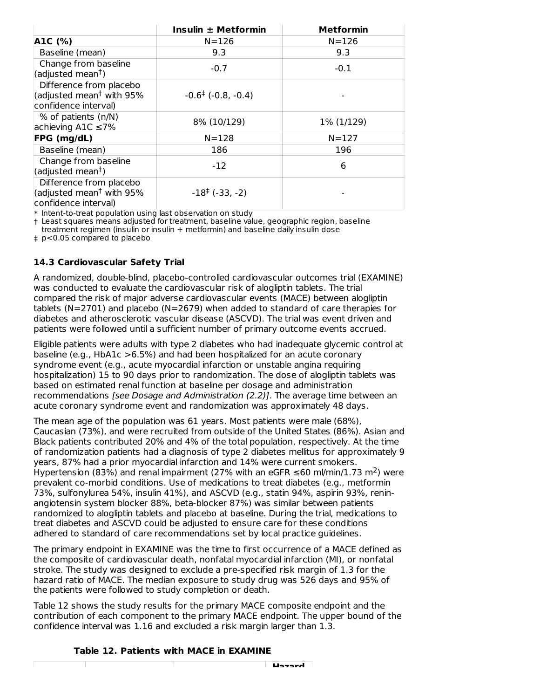|                                                                                         | Insulin ± Metformin                | <b>Metformin</b> |
|-----------------------------------------------------------------------------------------|------------------------------------|------------------|
| A1C (%)                                                                                 | $N = 126$                          | $N = 126$        |
| Baseline (mean)                                                                         | 9.3                                | 9.3              |
| Change from baseline<br>(adjusted mean <sup>†</sup> )                                   | $-0.7$                             | $-0.1$           |
| Difference from placebo<br>(adjusted mean <sup>†</sup> with 95%<br>confidence interval) | $-0.6^{\ddagger}$ ( $-0.8, -0.4$ ) |                  |
| % of patients (n/N)<br>achieving A1C $\leq$ 7%                                          | 8% (10/129)                        | 1% (1/129)       |
| <b>FPG</b> (mg/dL)                                                                      | $N = 128$                          | $N = 127$        |
| Baseline (mean)                                                                         | 186                                | 196              |
| Change from baseline<br>(adjusted mean <sup>†</sup> )                                   | $-12$                              | 6                |
| Difference from placebo<br>(adjusted mean <sup>†</sup> with 95%<br>confidence interval) | $-18^{\ddagger}$ (-33, -2)         |                  |

\* Intent-to-treat population using last observation on study

† Least squares means adjusted for treatment, baseline value, geographic region, baseline

treatment regimen (insulin or insulin + metformin) and baseline daily insulin dose

‡ p<0.05 compared to placebo

### **14.3 Cardiovascular Safety Trial**

A randomized, double-blind, placebo-controlled cardiovascular outcomes trial (EXAMINE) was conducted to evaluate the cardiovascular risk of alogliptin tablets. The trial compared the risk of major adverse cardiovascular events (MACE) between alogliptin tablets (N=2701) and placebo (N=2679) when added to standard of care therapies for diabetes and atherosclerotic vascular disease (ASCVD). The trial was event driven and patients were followed until a sufficient number of primary outcome events accrued.

Eligible patients were adults with type 2 diabetes who had inadequate glycemic control at baseline (e.g., HbA1c >6.5%) and had been hospitalized for an acute coronary syndrome event (e.g., acute myocardial infarction or unstable angina requiring hospitalization) 15 to 90 days prior to randomization. The dose of alogliptin tablets was based on estimated renal function at baseline per dosage and administration recommendations [see Dosage and Administration (2.2)]. The average time between an acute coronary syndrome event and randomization was approximately 48 days.

The mean age of the population was 61 years. Most patients were male (68%), Caucasian (73%), and were recruited from outside of the United States (86%). Asian and Black patients contributed 20% and 4% of the total population, respectively. At the time of randomization patients had a diagnosis of type 2 diabetes mellitus for approximately 9 years, 87% had a prior myocardial infarction and 14% were current smokers. Hypertension (83%) and renal impairment (27% with an eGFR  $\leq 60$  ml/min/1.73 m<sup>2</sup>) were prevalent co-morbid conditions. Use of medications to treat diabetes (e.g., metformin 73%, sulfonylurea 54%, insulin 41%), and ASCVD (e.g., statin 94%, aspirin 93%, reninangiotensin system blocker 88%, beta-blocker 87%) was similar between patients randomized to alogliptin tablets and placebo at baseline. During the trial, medications to treat diabetes and ASCVD could be adjusted to ensure care for these conditions adhered to standard of care recommendations set by local practice guidelines.

The primary endpoint in EXAMINE was the time to first occurrence of a MACE defined as the composite of cardiovascular death, nonfatal myocardial infarction (MI), or nonfatal stroke. The study was designed to exclude a pre-specified risk margin of 1.3 for the hazard ratio of MACE. The median exposure to study drug was 526 days and 95% of the patients were followed to study completion or death.

Table 12 shows the study results for the primary MACE composite endpoint and the contribution of each component to the primary MACE endpoint. The upper bound of the confidence interval was 1.16 and excluded a risk margin larger than 1.3.

### **Table 12. Patients with MACE in EXAMINE**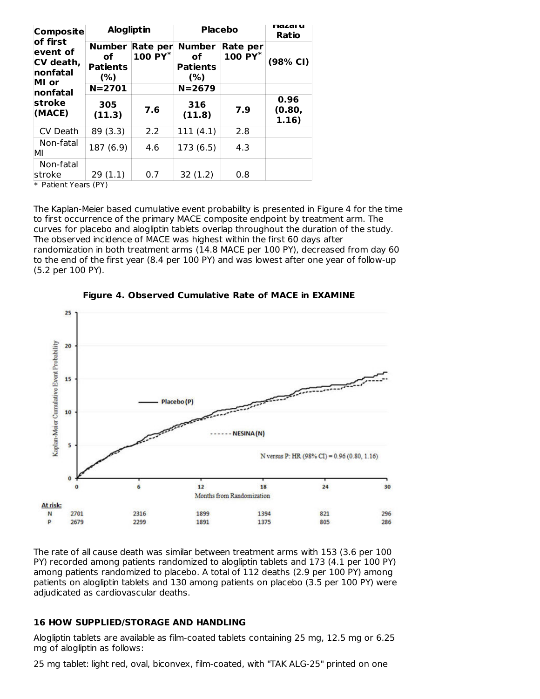| <b>Composite</b>                                       |                                                  | <b>Alogliptin</b>   |                                                  | <b>Placebo</b>      |                         |
|--------------------------------------------------------|--------------------------------------------------|---------------------|--------------------------------------------------|---------------------|-------------------------|
| of first<br>event of<br>CV death,<br>nonfatal<br>MI or | <b>Number</b><br>οf<br><b>Patients</b><br>$(\%)$ | Rate per<br>100 PY* | <b>Number</b><br>οf<br><b>Patients</b><br>$(\%)$ | Rate per<br>100 PY* | (98% CI)                |
| <b>nonfatal</b>                                        | $N = 2701$                                       |                     | $N = 2679$                                       |                     |                         |
| stroke<br>(MACE)                                       | 305<br>(11.3)                                    | 7.6                 | 316<br>(11.8)                                    | 7.9                 | 0.96<br>(0.80,<br>1.16) |
| CV Death                                               | 89 (3.3)                                         | 2.2                 | 111(4.1)                                         | 2.8                 |                         |
| Non-fatal<br>MI                                        | 187 (6.9)                                        | 4.6                 | 173(6.5)                                         | 4.3                 |                         |
| Non-fatal<br>stroke<br>$\cdots$                        | 29(1.1)<br>$\cdots$                              | 0.7                 | 32(1.2)                                          | 0.8                 |                         |

\* Patient Years (PY)

The Kaplan-Meier based cumulative event probability is presented in Figure 4 for the time to first occurrence of the primary MACE composite endpoint by treatment arm. The curves for placebo and alogliptin tablets overlap throughout the duration of the study. The observed incidence of MACE was highest within the first 60 days after randomization in both treatment arms (14.8 MACE per 100 PY), decreased from day 60 to the end of the first year (8.4 per 100 PY) and was lowest after one year of follow-up (5.2 per 100 PY).



**Figure 4. Observed Cumulative Rate of MACE in EXAMINE**

The rate of all cause death was similar between treatment arms with 153 (3.6 per 100 PY) recorded among patients randomized to alogliptin tablets and 173 (4.1 per 100 PY) among patients randomized to placebo. A total of 112 deaths (2.9 per 100 PY) among patients on alogliptin tablets and 130 among patients on placebo (3.5 per 100 PY) were adjudicated as cardiovascular deaths.

#### **16 HOW SUPPLIED/STORAGE AND HANDLING**

Alogliptin tablets are available as film-coated tablets containing 25 mg, 12.5 mg or 6.25 mg of alogliptin as follows:

25 mg tablet: light red, oval, biconvex, film-coated, with "TAK ALG-25" printed on one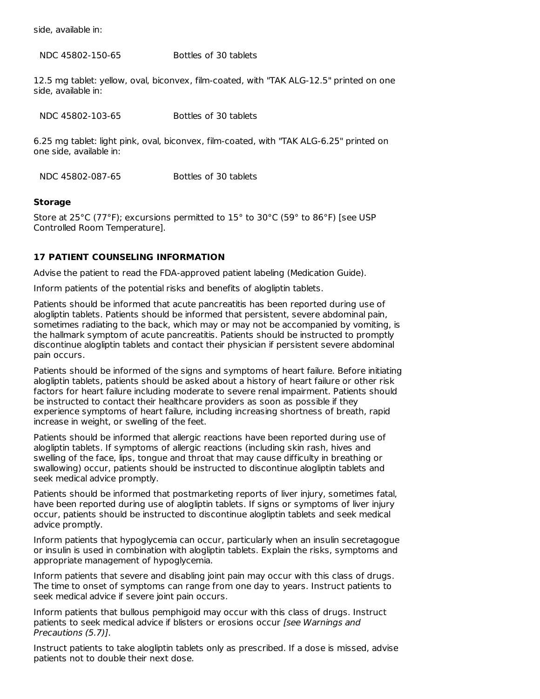side, available in:

NDC 45802-150-65 Bottles of 30 tablets

12.5 mg tablet: yellow, oval, biconvex, film-coated, with "TAK ALG-12.5" printed on one side, available in:

| NDC 45802-103-65        | Bottles of 30 tablets                                                                   |
|-------------------------|-----------------------------------------------------------------------------------------|
| one side, available in: | 6.25 mg tablet: light pink, oval, biconvex, film-coated, with "TAK ALG-6.25" printed on |
| NDC 45802-087-65        | Bottles of 30 tablets                                                                   |

#### **Storage**

Store at 25°C (77°F); excursions permitted to 15° to 30°C (59° to 86°F) [see USP Controlled Room Temperature].

### **17 PATIENT COUNSELING INFORMATION**

Advise the patient to read the FDA-approved patient labeling (Medication Guide).

Inform patients of the potential risks and benefits of alogliptin tablets.

Patients should be informed that acute pancreatitis has been reported during use of alogliptin tablets. Patients should be informed that persistent, severe abdominal pain, sometimes radiating to the back, which may or may not be accompanied by vomiting, is the hallmark symptom of acute pancreatitis. Patients should be instructed to promptly discontinue alogliptin tablets and contact their physician if persistent severe abdominal pain occurs.

Patients should be informed of the signs and symptoms of heart failure. Before initiating alogliptin tablets, patients should be asked about a history of heart failure or other risk factors for heart failure including moderate to severe renal impairment. Patients should be instructed to contact their healthcare providers as soon as possible if they experience symptoms of heart failure, including increasing shortness of breath, rapid increase in weight, or swelling of the feet.

Patients should be informed that allergic reactions have been reported during use of alogliptin tablets. If symptoms of allergic reactions (including skin rash, hives and swelling of the face, lips, tongue and throat that may cause difficulty in breathing or swallowing) occur, patients should be instructed to discontinue alogliptin tablets and seek medical advice promptly.

Patients should be informed that postmarketing reports of liver injury, sometimes fatal, have been reported during use of alogliptin tablets. If signs or symptoms of liver injury occur, patients should be instructed to discontinue alogliptin tablets and seek medical advice promptly.

Inform patients that hypoglycemia can occur, particularly when an insulin secretagogue or insulin is used in combination with alogliptin tablets. Explain the risks, symptoms and appropriate management of hypoglycemia.

Inform patients that severe and disabling joint pain may occur with this class of drugs. The time to onset of symptoms can range from one day to years. Instruct patients to seek medical advice if severe joint pain occurs.

Inform patients that bullous pemphigoid may occur with this class of drugs. Instruct patients to seek medical advice if blisters or erosions occur [see Warnings and Precautions (5.7)].

Instruct patients to take alogliptin tablets only as prescribed. If a dose is missed, advise patients not to double their next dose.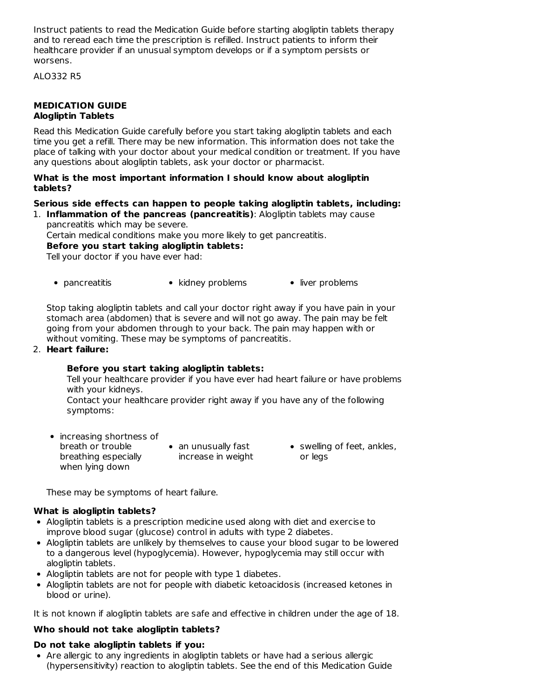Instruct patients to read the Medication Guide before starting alogliptin tablets therapy and to reread each time the prescription is refilled. Instruct patients to inform their healthcare provider if an unusual symptom develops or if a symptom persists or worsens.

ALO332 R5

### **MEDICATION GUIDE Alogliptin Tablets**

Read this Medication Guide carefully before you start taking alogliptin tablets and each time you get a refill. There may be new information. This information does not take the place of talking with your doctor about your medical condition or treatment. If you have any questions about alogliptin tablets, ask your doctor or pharmacist.

#### **What is the most important information I should know about alogliptin tablets?**

# **Serious side effects can happen to people taking alogliptin tablets, including:**

1. **Inflammation of the pancreas (pancreatitis)**: Alogliptin tablets may cause pancreatitis which may be severe.

Certain medical conditions make you more likely to get pancreatitis.

**Before you start taking alogliptin tablets:**

Tell your doctor if you have ever had:

• pancreatitis • kidney problems • liver problems

Stop taking alogliptin tablets and call your doctor right away if you have pain in your stomach area (abdomen) that is severe and will not go away. The pain may be felt going from your abdomen through to your back. The pain may happen with or without vomiting. These may be symptoms of pancreatitis.

#### 2. **Heart failure:**

### **Before you start taking alogliptin tablets:**

Tell your healthcare provider if you have ever had heart failure or have problems with your kidneys.

Contact your healthcare provider right away if you have any of the following symptoms:

• increasing shortness of breath or trouble breathing especially when lying down

• an unusually fast increase in weight • swelling of feet, ankles, or legs

These may be symptoms of heart failure.

### **What is alogliptin tablets?**

- Alogliptin tablets is a prescription medicine used along with diet and exercise to improve blood sugar (glucose) control in adults with type 2 diabetes.
- Alogliptin tablets are unlikely by themselves to cause your blood sugar to be lowered to a dangerous level (hypoglycemia). However, hypoglycemia may still occur with alogliptin tablets.
- Alogliptin tablets are not for people with type 1 diabetes.
- Alogliptin tablets are not for people with diabetic ketoacidosis (increased ketones in blood or urine).

It is not known if alogliptin tablets are safe and effective in children under the age of 18.

### **Who should not take alogliptin tablets?**

### **Do not take alogliptin tablets if you:**

Are allergic to any ingredients in alogliptin tablets or have had a serious allergic (hypersensitivity) reaction to alogliptin tablets. See the end of this Medication Guide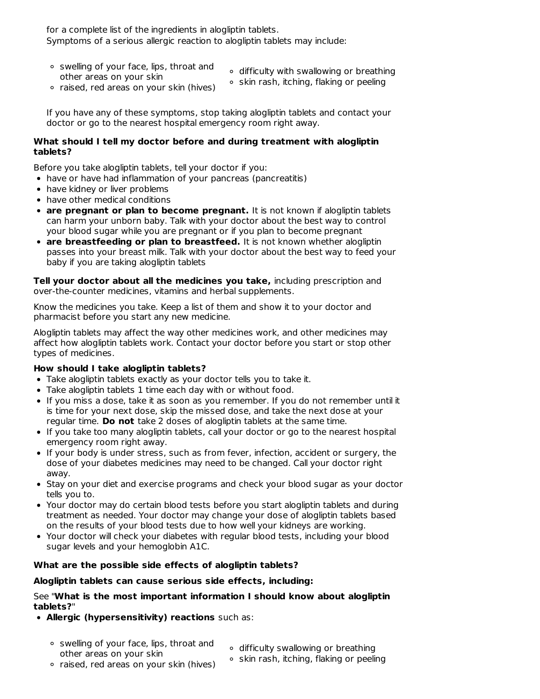for a complete list of the ingredients in alogliptin tablets. Symptoms of a serious allergic reaction to alogliptin tablets may include:

- swelling of your face, lips, throat and other areas on your skin
- difficulty with swallowing or breathing
- o skin rash, itching, flaking or peeling
- raised, red areas on your skin (hives)

If you have any of these symptoms, stop taking alogliptin tablets and contact your doctor or go to the nearest hospital emergency room right away.

### **What should I tell my doctor before and during treatment with alogliptin tablets?**

Before you take alogliptin tablets, tell your doctor if you:

- have or have had inflammation of your pancreas (pancreatitis)
- have kidney or liver problems
- have other medical conditions
- **are pregnant or plan to become pregnant.** It is not known if alogliptin tablets can harm your unborn baby. Talk with your doctor about the best way to control your blood sugar while you are pregnant or if you plan to become pregnant
- **are breastfeeding or plan to breastfeed.** It is not known whether alogliptin passes into your breast milk. Talk with your doctor about the best way to feed your baby if you are taking alogliptin tablets

**Tell your doctor about all the medicines you take,** including prescription and over-the-counter medicines, vitamins and herbal supplements.

Know the medicines you take. Keep a list of them and show it to your doctor and pharmacist before you start any new medicine.

Alogliptin tablets may affect the way other medicines work, and other medicines may affect how alogliptin tablets work. Contact your doctor before you start or stop other types of medicines.

### **How should I take alogliptin tablets?**

- Take alogliptin tablets exactly as your doctor tells you to take it.
- Take alogliptin tablets 1 time each day with or without food.
- If you miss a dose, take it as soon as you remember. If you do not remember until it is time for your next dose, skip the missed dose, and take the next dose at your regular time. **Do not** take 2 doses of alogliptin tablets at the same time.
- If you take too many alogliptin tablets, call your doctor or go to the nearest hospital emergency room right away.
- If your body is under stress, such as from fever, infection, accident or surgery, the dose of your diabetes medicines may need to be changed. Call your doctor right away.
- Stay on your diet and exercise programs and check your blood sugar as your doctor tells you to.
- Your doctor may do certain blood tests before you start alogliptin tablets and during treatment as needed. Your doctor may change your dose of alogliptin tablets based on the results of your blood tests due to how well your kidneys are working.
- Your doctor will check your diabetes with regular blood tests, including your blood sugar levels and your hemoglobin A1C.

### **What are the possible side effects of alogliptin tablets?**

#### **Alogliptin tablets can cause serious side effects, including:**

See "**What is the most important information I should know about alogliptin tablets?**"

- **Allergic (hypersensitivity) reactions** such as:
	- swelling of your face, lips, throat and other areas on your skin
		- difficulty swallowing or breathing
		- $\circ$  skin rash, itching, flaking or peeling
	- raised, red areas on your skin (hives)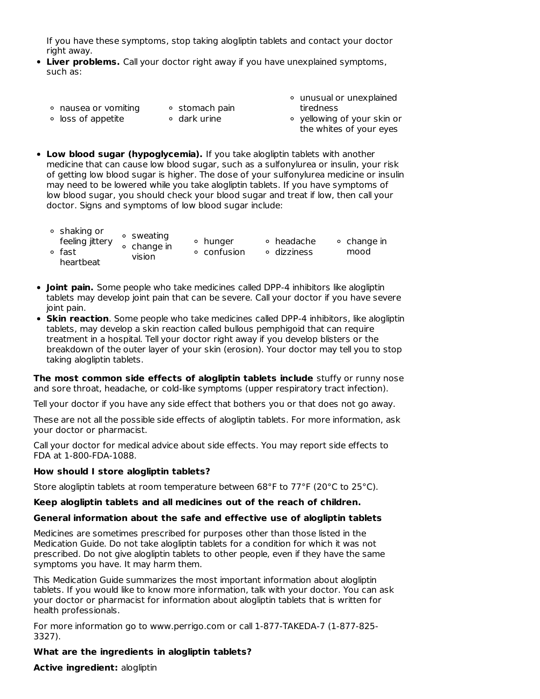If you have these symptoms, stop taking alogliptin tablets and contact your doctor right away.

- **Liver problems.** Call your doctor right away if you have unexplained symptoms, such as:
	- ∘ nausea or vomiting
- ∘ stomach pain
	- loss of appetite
- ∘ dark urine
- unusual or unexplained tiredness
- o vellowing of your skin or the whites of your eyes
- **Low blood sugar (hypoglycemia).** If you take alogliptin tablets with another medicine that can cause low blood sugar, such as a sulfonylurea or insulin, your risk of getting low blood sugar is higher. The dose of your sulfonylurea medicine or insulin may need to be lowered while you take alogliptin tablets. If you have symptoms of low blood sugar, you should check your blood sugar and treat if low, then call your doctor. Signs and symptoms of low blood sugar include:

| ∘ shaking or<br>feeling jittery<br>∘ fast<br>heartbeat | ∘ sweating<br>$\circ$ change in<br>vision | • hunger<br>∘ confusion | ∘ headache<br>∘ dizziness | • change in<br>mood |
|--------------------------------------------------------|-------------------------------------------|-------------------------|---------------------------|---------------------|
|--------------------------------------------------------|-------------------------------------------|-------------------------|---------------------------|---------------------|

- **Joint pain.** Some people who take medicines called DPP-4 inhibitors like alogliptin tablets may develop joint pain that can be severe. Call your doctor if you have severe joint pain.
- **Skin reaction**. Some people who take medicines called DPP-4 inhibitors, like alogliptin tablets, may develop a skin reaction called bullous pemphigoid that can require treatment in a hospital. Tell your doctor right away if you develop blisters or the breakdown of the outer layer of your skin (erosion). Your doctor may tell you to stop taking alogliptin tablets.

**The most common side effects of alogliptin tablets include** stuffy or runny nose and sore throat, headache, or cold-like symptoms (upper respiratory tract infection).

Tell your doctor if you have any side effect that bothers you or that does not go away.

These are not all the possible side effects of alogliptin tablets. For more information, ask your doctor or pharmacist.

Call your doctor for medical advice about side effects. You may report side effects to FDA at 1-800-FDA-1088.

### **How should I store alogliptin tablets?**

Store alogliptin tablets at room temperature between 68°F to 77°F (20°C to 25°C).

### **Keep alogliptin tablets and all medicines out of the reach of children.**

#### **General information about the safe and effective use of alogliptin tablets**

Medicines are sometimes prescribed for purposes other than those listed in the Medication Guide. Do not take alogliptin tablets for a condition for which it was not prescribed. Do not give alogliptin tablets to other people, even if they have the same symptoms you have. It may harm them.

This Medication Guide summarizes the most important information about alogliptin tablets. If you would like to know more information, talk with your doctor. You can ask your doctor or pharmacist for information about alogliptin tablets that is written for health professionals.

For more information go to www.perrigo.com or call 1-877-TAKEDA-7 (1-877-825- 3327).

### **What are the ingredients in alogliptin tablets?**

**Active ingredient:** alogliptin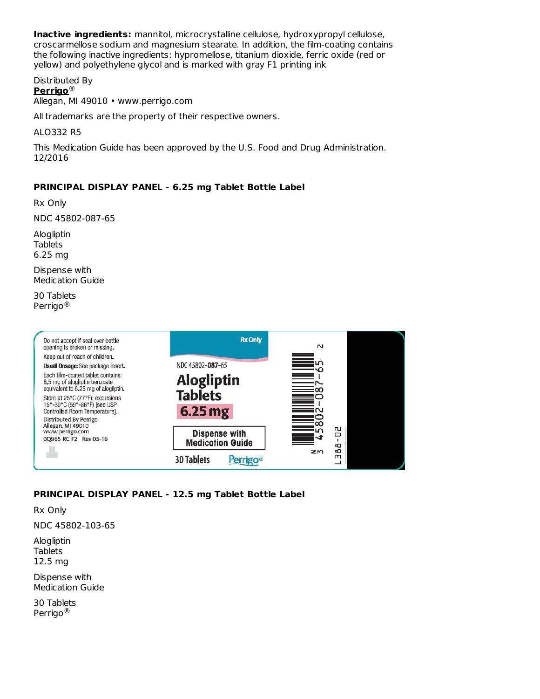**Inactive ingredients:** mannitol, microcrystalline cellulose, hydroxypropyl cellulose, croscarmellose sodium and magnesium stearate. In addition, the film-coating contains the following inactive ingredients: hypromellose, titanium dioxide, ferric oxide (red or yellow) and polyethylene glycol and is marked with gray F1 printing ink

Distributed By **Perrigo** ® Allegan, MI 49010 • www.perrigo.com

All trademarks are the property of their respective owners.

ALO332 R5

This Medication Guide has been approved by the U.S. Food and Drug Administration. 12/2016

### **PRINCIPAL DISPLAY PANEL - 6.25 mg Tablet Bottle Label**

Rx Only

NDC 45802-087-65

Alogliptin **Tablets** 6.25 mg

Dispense with Medication Guide

30 Tablets Perrigo ®



# **PRINCIPAL DISPLAY PANEL - 12.5 mg Tablet Bottle Label**

Rx Only

NDC 45802-103-65

Alogliptin Tablets 12.5 mg

Dispense with Medication Guide

30 Tablets Perrigo ®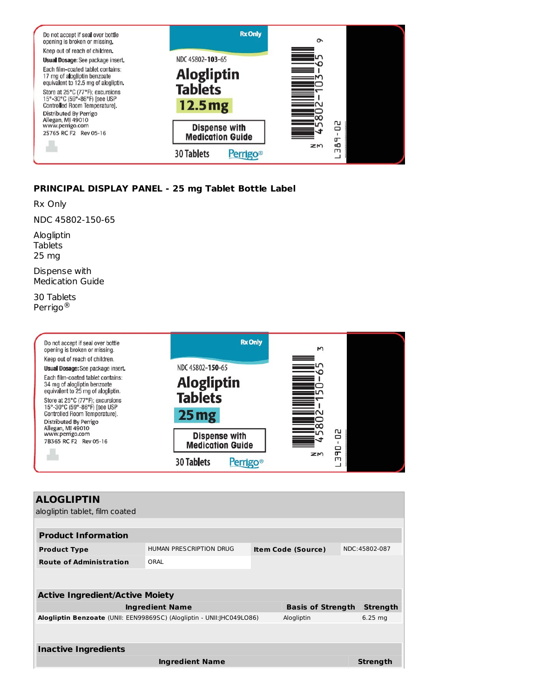

# **PRINCIPAL DISPLAY PANEL - 25 mg Tablet Bottle Label**

Rx Only

NDC 45802-150-65

Alogliptin Tablets 25 mg

Dispense with Medication Guide

30 Tablets Perrigo ®



| <b>ALOGLIPTIN</b>                                                      |                         |                           |                 |
|------------------------------------------------------------------------|-------------------------|---------------------------|-----------------|
| alogliptin tablet, film coated                                         |                         |                           |                 |
|                                                                        |                         |                           |                 |
| <b>Product Information</b>                                             |                         |                           |                 |
| <b>Product Type</b>                                                    | HUMAN PRESCRIPTION DRUG | <b>Item Code (Source)</b> | NDC:45802-087   |
| <b>Route of Administration</b>                                         | ORAI                    |                           |                 |
|                                                                        |                         |                           |                 |
|                                                                        |                         |                           |                 |
| <b>Active Ingredient/Active Moiety</b>                                 |                         |                           |                 |
|                                                                        | <b>Ingredient Name</b>  | <b>Basis of Strength</b>  | <b>Strength</b> |
| Alogliptin Benzoate (UNII: EEN99869SC) (Alogliptin - UNII: JHC049LO86) |                         | Alogliptin                | $6.25$ mg       |
|                                                                        |                         |                           |                 |
|                                                                        |                         |                           |                 |
| <b>Inactive Ingredients</b>                                            |                         |                           |                 |
|                                                                        | <b>Ingredient Name</b>  |                           | <b>Strength</b> |
|                                                                        |                         |                           |                 |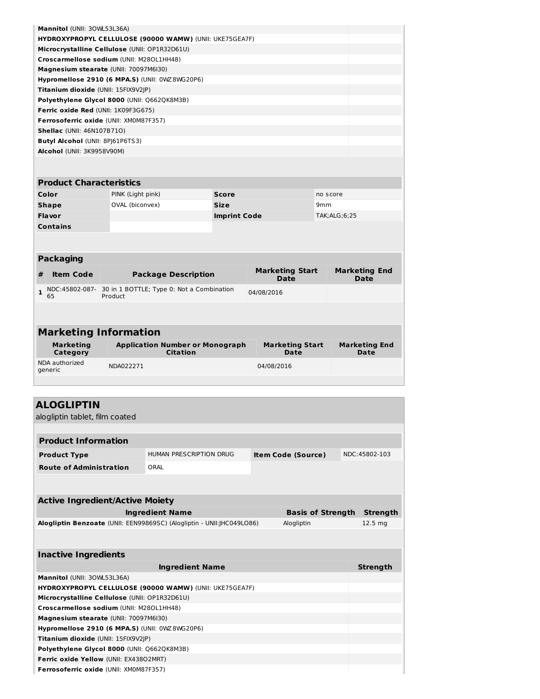| Mannitol (UNII: 30WL53L36A)                                    |  |
|----------------------------------------------------------------|--|
| <b>HYDROXYPROPYL CELLULOSE (90000 WAMW) (UNII: UKE75GEA7F)</b> |  |
| Microcrystalline Cellulose (UNII: OP1R32D61U)                  |  |
| Croscarmellose sodium (UNII: M28OL1HH48)                       |  |
| Magnesium stearate (UNII: 70097M6I30)                          |  |
| Hypromellose 2910 (6 MPA.S) (UNII: 0WZ8WG20P6)                 |  |
| Titanium dioxide (UNII: 15FIX9V2JP)                            |  |
| Polyethylene Glycol 8000 (UNII: Q662QK8M3B)                    |  |
| <b>Ferric oxide Red (UNII: 1K09F3G675)</b>                     |  |
| Ferrosoferric oxide (UNII: XM0M87F357)                         |  |
| <b>Shellac</b> (UNII: 46N107B71O)                              |  |
| <b>Butyl Alcohol (UNII: 8PI61P6TS3)</b>                        |  |
| Alcohol (UNII: 3K9958V90M)                                     |  |

# **Product Characteristics Color** PINK (Light pink) **Score Score** no score **Shape** OVAL (biconvex) **Size** 9mm **Flavor Imprint Code** TAK;ALG;6;25 **Contains**

|   | <b>Packaging</b> |                                                                                   |                                       |                                     |  |  |  |
|---|------------------|-----------------------------------------------------------------------------------|---------------------------------------|-------------------------------------|--|--|--|
| # | <b>Item Code</b> | <b>Package Description</b>                                                        | <b>Marketing Start</b><br><b>Date</b> | <b>Marketing End</b><br><b>Date</b> |  |  |  |
|   | 65               | $\frac{1}{2}$ NDC:45802-087- 30 in 1 BOTTLE; Type 0: Not a Combination<br>Product | 04/08/2016                            |                                     |  |  |  |
|   |                  |                                                                                   |                                       |                                     |  |  |  |

| <b>Marketing Information</b> |                                                           |                                |                              |  |  |
|------------------------------|-----------------------------------------------------------|--------------------------------|------------------------------|--|--|
| <b>Marketing</b><br>Category | <b>Application Number or Monograph</b><br><b>Citation</b> | <b>Marketing Start</b><br>Date | <b>Marketing End</b><br>Date |  |  |
| NDA authorized<br>generic    | NDA022271                                                 | 04/08/2016                     |                              |  |  |

| <b>ALOGLIPTIN</b>                                                                    |                         |  |                           |  |                    |
|--------------------------------------------------------------------------------------|-------------------------|--|---------------------------|--|--------------------|
| alogliptin tablet, film coated                                                       |                         |  |                           |  |                    |
|                                                                                      |                         |  |                           |  |                    |
| <b>Product Information</b>                                                           |                         |  |                           |  |                    |
| <b>Product Type</b>                                                                  | HUMAN PRESCRIPTION DRUG |  | <b>Item Code (Source)</b> |  | NDC:45802-103      |
| <b>Route of Administration</b>                                                       | ORAI                    |  |                           |  |                    |
|                                                                                      |                         |  |                           |  |                    |
|                                                                                      |                         |  |                           |  |                    |
| <b>Active Ingredient/Active Moiety</b>                                               |                         |  |                           |  |                    |
|                                                                                      | <b>Ingredient Name</b>  |  | <b>Basis of Strength</b>  |  | <b>Strength</b>    |
| Alogliptin Benzoate (UNII: EEN99869SC) (Alogliptin - UNII: JHC049LO86)<br>Alogliptin |                         |  |                           |  | 12.5 <sub>mg</sub> |
|                                                                                      |                         |  |                           |  |                    |
|                                                                                      |                         |  |                           |  |                    |
| <b>Inactive Ingredients</b>                                                          |                         |  |                           |  |                    |
|                                                                                      | <b>Ingredient Name</b>  |  |                           |  | <b>Strength</b>    |
| Mannitol (UNII: 30WL53L36A)                                                          |                         |  |                           |  |                    |
| HYDROXYPROPYL CELLULOSE (90000 WAMW) (UNII: UKE75GEA7F)                              |                         |  |                           |  |                    |
| Microcrystalline Cellulose (UNII: OP1R32D61U)                                        |                         |  |                           |  |                    |
| Croscarmellose sodium (UNII: M28OL1HH48)                                             |                         |  |                           |  |                    |
| Magnesium stearate (UNII: 70097M6I30)                                                |                         |  |                           |  |                    |
| Hypromellose 2910 (6 MPA.S) (UNII: 0WZ8WG20P6)                                       |                         |  |                           |  |                    |
| Titanium dioxide (UNII: 15FIX9V2JP)                                                  |                         |  |                           |  |                    |
| Polyethylene Glycol 8000 (UNII: Q662QK8M3B)                                          |                         |  |                           |  |                    |
| Ferric oxide Yellow (UNII: EX43802MRT)                                               |                         |  |                           |  |                    |
| Ferrosoferric oxide (UNII: XM0M87F357)                                               |                         |  |                           |  |                    |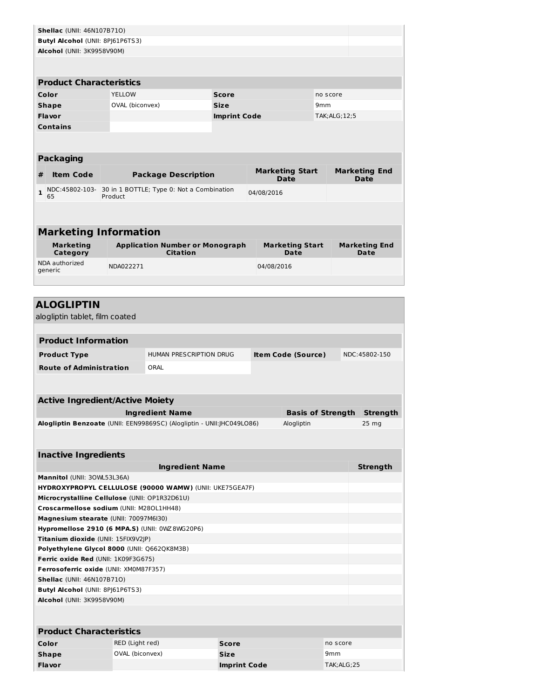| <b>Shellac</b> (UNII: 46N107B710)                                                                       |                                 |                                           |  |                        |                           |                          |                      |  |  |
|---------------------------------------------------------------------------------------------------------|---------------------------------|-------------------------------------------|--|------------------------|---------------------------|--------------------------|----------------------|--|--|
| Butyl Alcohol (UNII: 8PJ61P6TS3)                                                                        |                                 |                                           |  |                        |                           |                          |                      |  |  |
| Alcohol (UNII: 3K9958V90M)                                                                              |                                 |                                           |  |                        |                           |                          |                      |  |  |
|                                                                                                         |                                 |                                           |  |                        |                           |                          |                      |  |  |
| <b>Product Characteristics</b>                                                                          |                                 |                                           |  |                        |                           |                          |                      |  |  |
|                                                                                                         |                                 |                                           |  |                        |                           |                          |                      |  |  |
| Color                                                                                                   | <b>YELLOW</b>                   | <b>Score</b>                              |  |                        | no score                  |                          |                      |  |  |
| Shape                                                                                                   | OVAL (biconvex)                 | <b>Size</b>                               |  |                        |                           | 9mm                      |                      |  |  |
| <b>Flavor</b>                                                                                           |                                 | <b>Imprint Code</b>                       |  |                        | TAK; ALG; 12; 5           |                          |                      |  |  |
| <b>Contains</b>                                                                                         |                                 |                                           |  |                        |                           |                          |                      |  |  |
|                                                                                                         |                                 |                                           |  |                        |                           |                          |                      |  |  |
| <b>Packaging</b>                                                                                        |                                 |                                           |  |                        |                           |                          |                      |  |  |
| <b>Item Code</b><br>#                                                                                   |                                 |                                           |  | <b>Marketing Start</b> |                           |                          | <b>Marketing End</b> |  |  |
|                                                                                                         |                                 | <b>Package Description</b>                |  |                        | Date                      |                          | Date                 |  |  |
| NDC:45802-103-<br>1<br>65                                                                               | Product                         | 30 in 1 BOTTLE; Type 0: Not a Combination |  |                        | 04/08/2016                |                          |                      |  |  |
|                                                                                                         |                                 |                                           |  |                        |                           |                          |                      |  |  |
|                                                                                                         |                                 |                                           |  |                        |                           |                          |                      |  |  |
| <b>Marketing Information</b>                                                                            |                                 |                                           |  |                        |                           |                          |                      |  |  |
| <b>Marketing</b>                                                                                        |                                 | <b>Application Number or Monograph</b>    |  | <b>Marketing Start</b> |                           |                          | <b>Marketing End</b> |  |  |
| Category                                                                                                |                                 | Citation                                  |  | Date                   |                           | Date                     |                      |  |  |
| NDA authorized<br>generic                                                                               | NDA022271                       |                                           |  | 04/08/2016             |                           |                          |                      |  |  |
|                                                                                                         |                                 |                                           |  |                        |                           |                          |                      |  |  |
|                                                                                                         |                                 |                                           |  |                        |                           |                          |                      |  |  |
| <b>ALOGLIPTIN</b>                                                                                       |                                 |                                           |  |                        |                           |                          |                      |  |  |
| alogliptin tablet, film coated                                                                          |                                 |                                           |  |                        |                           |                          |                      |  |  |
|                                                                                                         |                                 |                                           |  |                        |                           |                          |                      |  |  |
| <b>Product Information</b>                                                                              |                                 |                                           |  |                        |                           |                          |                      |  |  |
| <b>Product Type</b>                                                                                     |                                 | HUMAN PRESCRIPTION DRUG                   |  |                        | <b>Item Code (Source)</b> |                          | NDC:45802-150        |  |  |
| <b>Route of Administration</b>                                                                          |                                 | ORAL                                      |  |                        |                           |                          |                      |  |  |
|                                                                                                         |                                 |                                           |  |                        |                           |                          |                      |  |  |
|                                                                                                         |                                 |                                           |  |                        |                           |                          |                      |  |  |
| <b>Active Ingredient/Active Moiety</b>                                                                  |                                 |                                           |  |                        |                           |                          |                      |  |  |
|                                                                                                         |                                 | <b>Ingredient Name</b>                    |  |                        |                           | <b>Basis of Strength</b> | <b>Strenath</b>      |  |  |
| Alogliptin Benzoate (UNII: EEN99869SC) (Alogliptin - UNII: JHC049LO86)<br>Alogliptin<br>$25 \text{ mg}$ |                                 |                                           |  |                        |                           |                          |                      |  |  |
|                                                                                                         |                                 |                                           |  |                        |                           |                          |                      |  |  |
|                                                                                                         |                                 |                                           |  |                        |                           |                          |                      |  |  |
| <b>Inactive Ingredients</b>                                                                             |                                 |                                           |  |                        |                           |                          |                      |  |  |
| <b>Ingredient Name</b><br><b>Strength</b>                                                               |                                 |                                           |  |                        |                           |                          |                      |  |  |
| Mannitol (UNII: 30WL53L36A)                                                                             |                                 |                                           |  |                        |                           |                          |                      |  |  |
| HYDROXYPROPYL CELLULOSE (90000 WAMW) (UNII: UKE75GEA7F)                                                 |                                 |                                           |  |                        |                           |                          |                      |  |  |
| Microcrystalline Cellulose (UNII: OP1R32D61U)<br>Croscarmellose sodium (UNII: M28OL1HH48)               |                                 |                                           |  |                        |                           |                          |                      |  |  |
|                                                                                                         |                                 |                                           |  |                        |                           |                          |                      |  |  |
| Magnesium stearate (UNII: 70097M6I30)                                                                   |                                 |                                           |  |                        |                           |                          |                      |  |  |
| Hypromellose 2910 (6 MPA.S) (UNII: 0WZ8WG20P6)                                                          |                                 |                                           |  |                        |                           |                          |                      |  |  |
| Titanium dioxide (UNII: 15FIX9V2JP)<br>Polyethylene Glycol 8000 (UNII: Q662QK8M3B)                      |                                 |                                           |  |                        |                           |                          |                      |  |  |
|                                                                                                         |                                 |                                           |  |                        |                           |                          |                      |  |  |
| Ferric oxide Red (UNII: 1K09F3G675)<br>Ferrosoferric oxide (UNII: XM0M87F357)                           |                                 |                                           |  |                        |                           |                          |                      |  |  |
| <b>Shellac</b> (UNII: 46N107B71O)                                                                       |                                 |                                           |  |                        |                           |                          |                      |  |  |
| Butyl Alcohol (UNII: 8PJ61P6TS3)                                                                        |                                 |                                           |  |                        |                           |                          |                      |  |  |
| Alcohol (UNII: 3K9958V90M)                                                                              |                                 |                                           |  |                        |                           |                          |                      |  |  |
|                                                                                                         |                                 |                                           |  |                        |                           |                          |                      |  |  |
|                                                                                                         |                                 |                                           |  |                        |                           |                          |                      |  |  |
| <b>Product Characteristics</b>                                                                          |                                 |                                           |  |                        |                           |                          |                      |  |  |
| Color                                                                                                   | RED (Light red)<br><b>Score</b> |                                           |  |                        |                           | no score                 |                      |  |  |
| Shape                                                                                                   | OVAL (biconvex)                 | <b>Size</b>                               |  |                        | 9 <sub>mm</sub>           |                          |                      |  |  |
| <b>Flavor</b>                                                                                           |                                 | <b>Imprint Code</b>                       |  |                        |                           | TAK; ALG; 25             |                      |  |  |